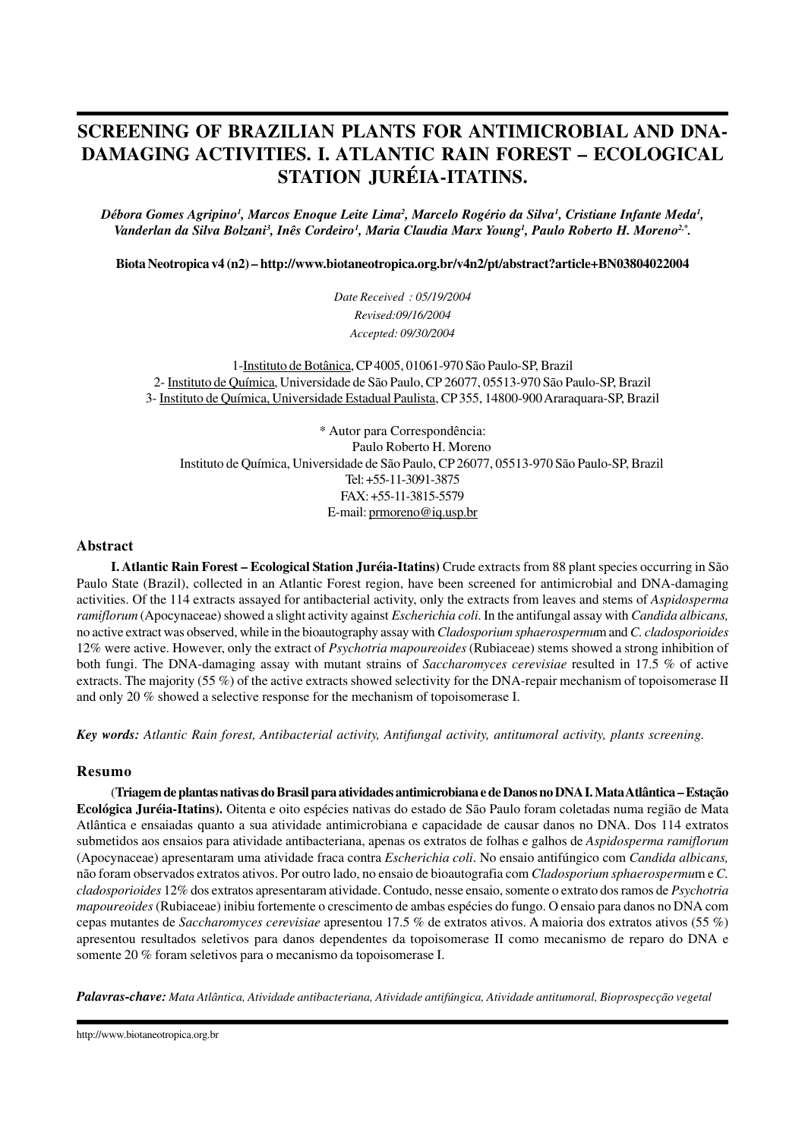# **SCREENING OF BRAZILIAN PLANTS FOR ANTIMICROBIAL AND DNA-DAMAGING ACTIVITIES. I. ATLANTIC RAIN FOREST – ECOLOGICAL STATION JURÉIA-ITATINS.**

*Débora Gomes Agripino<sup>1</sup> , Marcos Enoque Leite Lima<sup>2</sup> , Marcelo Rogério da Silva<sup>1</sup> , Cristiane Infante Meda<sup>1</sup> , Vanderlan da Silva Bolzani<sup>3</sup> , Inês Cordeiro<sup>1</sup> , Maria Claudia Marx Young<sup>1</sup> , Paulo Roberto H. Moreno2,\* .*

**Biota Neotropica v4 (n2) – http://www.biotaneotropica.org.br/v4n2/pt/abstract?article+BN03804022004**

*Date Received : 05/19/2004 Revised:09/16/2004 Accepted: 09/30/2004*

1-Instituto de Botânica, CP 4005, 01061-970 São Paulo-SP, Brazil 2- Instituto de Química, Universidade de São Paulo, CP 26077, 05513-970 São Paulo-SP, Brazil 3- Instituto de Química, Universidade Estadual Paulista, CP 355, 14800-900 Araraquara-SP, Brazil

\* Autor para Correspondência: Paulo Roberto H. Moreno Instituto de Química, Universidade de São Paulo, CP 26077, 05513-970 São Paulo-SP, Brazil Tel: +55-11-3091-3875 FAX: +55-11-3815-5579 E-mail: prmoreno@iq.usp.br

#### **Abstract**

**I. Atlantic Rain Forest – Ecological Station Juréia-Itatins)** Crude extracts from 88 plant species occurring in São Paulo State (Brazil), collected in an Atlantic Forest region, have been screened for antimicrobial and DNA-damaging activities. Of the 114 extracts assayed for antibacterial activity, only the extracts from leaves and stems of *Aspidosperma ramiflorum* (Apocynaceae) showed a slight activity against *Escherichia coli*. In the antifungal assay with *Candida albicans,* no active extract was observed, while in the bioautography assay with *Cladosporium sphaerospermu*m and *C. cladosporioides* 12% were active. However, only the extract of *Psychotria mapoureoides* (Rubiaceae) stems showed a strong inhibition of both fungi. The DNA-damaging assay with mutant strains of *Saccharomyces cerevisiae* resulted in 17.5 % of active extracts. The majority (55 %) of the active extracts showed selectivity for the DNA-repair mechanism of topoisomerase II and only 20 % showed a selective response for the mechanism of topoisomerase I.

*Key words: Atlantic Rain forest, Antibacterial activity, Antifungal activity, antitumoral activity, plants screening.*

## **Resumo**

(**Triagem de plantas nativas do Brasil para atividades antimicrobiana e de Danos no DNA I. Mata Atlântica – Estação Ecológica Juréia-Itatins).** Oitenta e oito espécies nativas do estado de São Paulo foram coletadas numa região de Mata Atlântica e ensaiadas quanto a sua atividade antimicrobiana e capacidade de causar danos no DNA. Dos 114 extratos submetidos aos ensaios para atividade antibacteriana, apenas os extratos de folhas e galhos de *Aspidosperma ramiflorum* (Apocynaceae) apresentaram uma atividade fraca contra *Escherichia coli*. No ensaio antifúngico com *Candida albicans,* não foram observados extratos ativos. Por outro lado, no ensaio de bioautografia com *Cladosporium sphaerospermu*m e *C. cladosporioides* 12% dos extratos apresentaram atividade. Contudo, nesse ensaio, somente o extrato dos ramos de *Psychotria mapoureoides* (Rubiaceae) inibiu fortemente o crescimento de ambas espécies do fungo. O ensaio para danos no DNA com cepas mutantes de *Saccharomyces cerevisiae* apresentou 17.5 % de extratos ativos. A maioria dos extratos ativos (55 %) apresentou resultados seletivos para danos dependentes da topoisomerase II como mecanismo de reparo do DNA e somente 20 % foram seletivos para o mecanismo da topoisomerase I.

*Palavras-chave: Mata Atlântica, Atividade antibacteriana, Atividade antifúngica, Atividade antitumoral, Bioprospecção vegetal*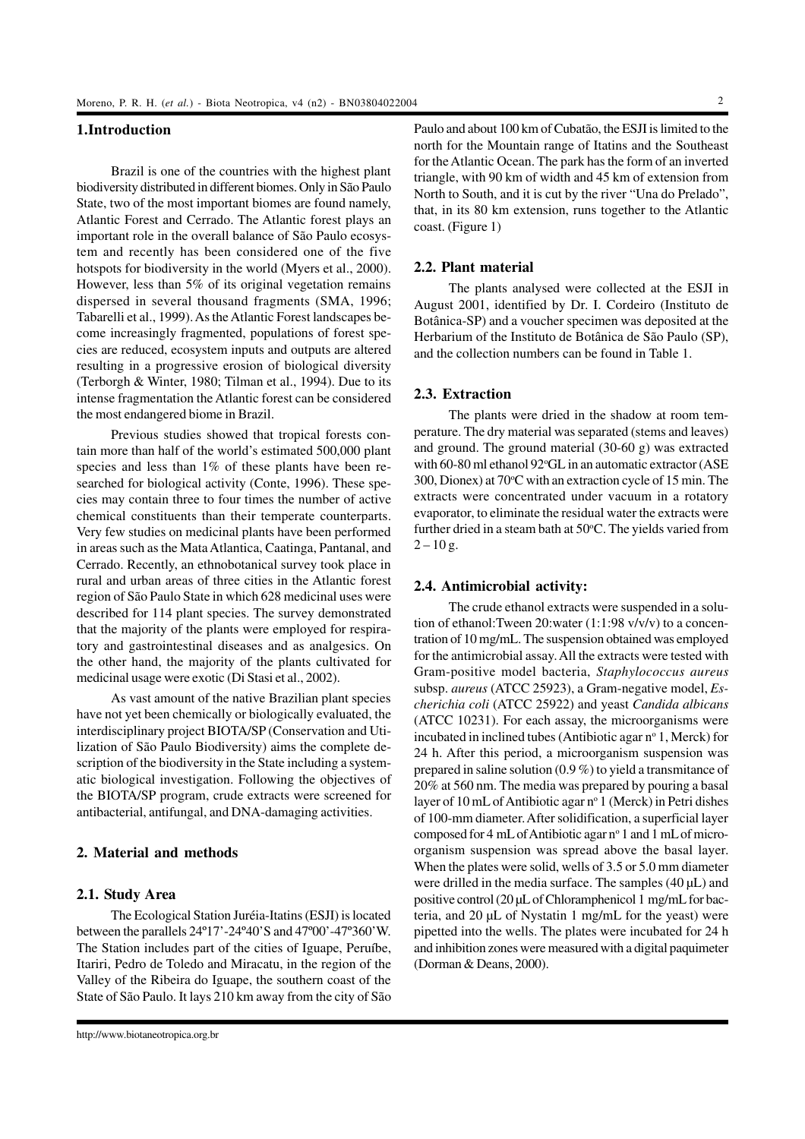# **1.Introduction**

Brazil is one of the countries with the highest plant biodiversity distributed in different biomes. Only in São Paulo State, two of the most important biomes are found namely, Atlantic Forest and Cerrado. The Atlantic forest plays an important role in the overall balance of São Paulo ecosystem and recently has been considered one of the five hotspots for biodiversity in the world (Myers et al., 2000). However, less than 5% of its original vegetation remains dispersed in several thousand fragments (SMA, 1996; Tabarelli et al., 1999). As the Atlantic Forest landscapes become increasingly fragmented, populations of forest species are reduced, ecosystem inputs and outputs are altered resulting in a progressive erosion of biological diversity (Terborgh & Winter, 1980; Tilman et al., 1994). Due to its intense fragmentation the Atlantic forest can be considered the most endangered biome in Brazil.

Previous studies showed that tropical forests contain more than half of the world's estimated 500,000 plant species and less than 1% of these plants have been researched for biological activity (Conte, 1996). These species may contain three to four times the number of active chemical constituents than their temperate counterparts. Very few studies on medicinal plants have been performed in areas such as the Mata Atlantica, Caatinga, Pantanal, and Cerrado. Recently, an ethnobotanical survey took place in rural and urban areas of three cities in the Atlantic forest region of São Paulo State in which 628 medicinal uses were described for 114 plant species. The survey demonstrated that the majority of the plants were employed for respiratory and gastrointestinal diseases and as analgesics. On the other hand, the majority of the plants cultivated for medicinal usage were exotic (Di Stasi et al., 2002).

As vast amount of the native Brazilian plant species have not yet been chemically or biologically evaluated, the interdisciplinary project BIOTA/SP (Conservation and Utilization of São Paulo Biodiversity) aims the complete description of the biodiversity in the State including a systematic biological investigation. Following the objectives of the BIOTA/SP program, crude extracts were screened for antibacterial, antifungal, and DNA-damaging activities.

# **2. Material and methods**

## **2.1. Study Area**

The Ecological Station Juréia-Itatins (ESJI) is located between the parallels 24º17'-24º40'S and 47º00'-47º360'W. The Station includes part of the cities of Iguape, Peruíbe, Itariri, Pedro de Toledo and Miracatu, in the region of the Valley of the Ribeira do Iguape, the southern coast of the State of São Paulo. It lays 210 km away from the city of São

Paulo and about 100 km of Cubatão, the ESJI is limited to the north for the Mountain range of Itatins and the Southeast for the Atlantic Ocean. The park has the form of an inverted triangle, with 90 km of width and 45 km of extension from North to South, and it is cut by the river "Una do Prelado", that, in its 80 km extension, runs together to the Atlantic coast. (Figure 1)

## **2.2. Plant material**

The plants analysed were collected at the ESJI in August 2001, identified by Dr. I. Cordeiro (Instituto de Botânica-SP) and a voucher specimen was deposited at the Herbarium of the Instituto de Botânica de São Paulo (SP), and the collection numbers can be found in Table 1.

# **2.3. Extraction**

The plants were dried in the shadow at room temperature. The dry material was separated (stems and leaves) and ground. The ground material (30-60 g) was extracted with 60-80 ml ethanol 92°GL in an automatic extractor (ASE 300, Dionex) at  $70^{\circ}$ C with an extraction cycle of 15 min. The extracts were concentrated under vacuum in a rotatory evaporator, to eliminate the residual water the extracts were further dried in a steam bath at 50°C. The yields varied from  $2 - 10$  g.

#### **2.4. Antimicrobial activity:**

The crude ethanol extracts were suspended in a solution of ethanol:Tween 20:water (1:1:98 v/v/v) to a concentration of 10 mg/mL. The suspension obtained was employed for the antimicrobial assay. All the extracts were tested with Gram-positive model bacteria, *Staphylococcus aureus* subsp. *aureus* (ATCC 25923), a Gram-negative model, *Escherichia coli* (ATCC 25922) and yeast *Candida albicans* (ATCC 10231). For each assay, the microorganisms were incubated in inclined tubes (Antibiotic agar nº 1, Merck) for 24 h. After this period, a microorganism suspension was prepared in saline solution (0.9 %) to yield a transmitance of 20% at 560 nm. The media was prepared by pouring a basal layer of 10 mL of Antibiotic agar nº 1 (Merck) in Petri dishes of 100-mm diameter. After solidification, a superficial layer composed for 4 mL of Antibiotic agar nº 1 and 1 mL of microorganism suspension was spread above the basal layer. When the plates were solid, wells of 3.5 or 5.0 mm diameter were drilled in the media surface. The samples (40  $\mu$ L) and positive control (20 µL of Chloramphenicol 1 mg/mL for bacteria, and 20 µL of Nystatin 1 mg/mL for the yeast) were pipetted into the wells. The plates were incubated for 24 h and inhibition zones were measured with a digital paquimeter (Dorman & Deans, 2000).

http://www.biotaneotropica.org.br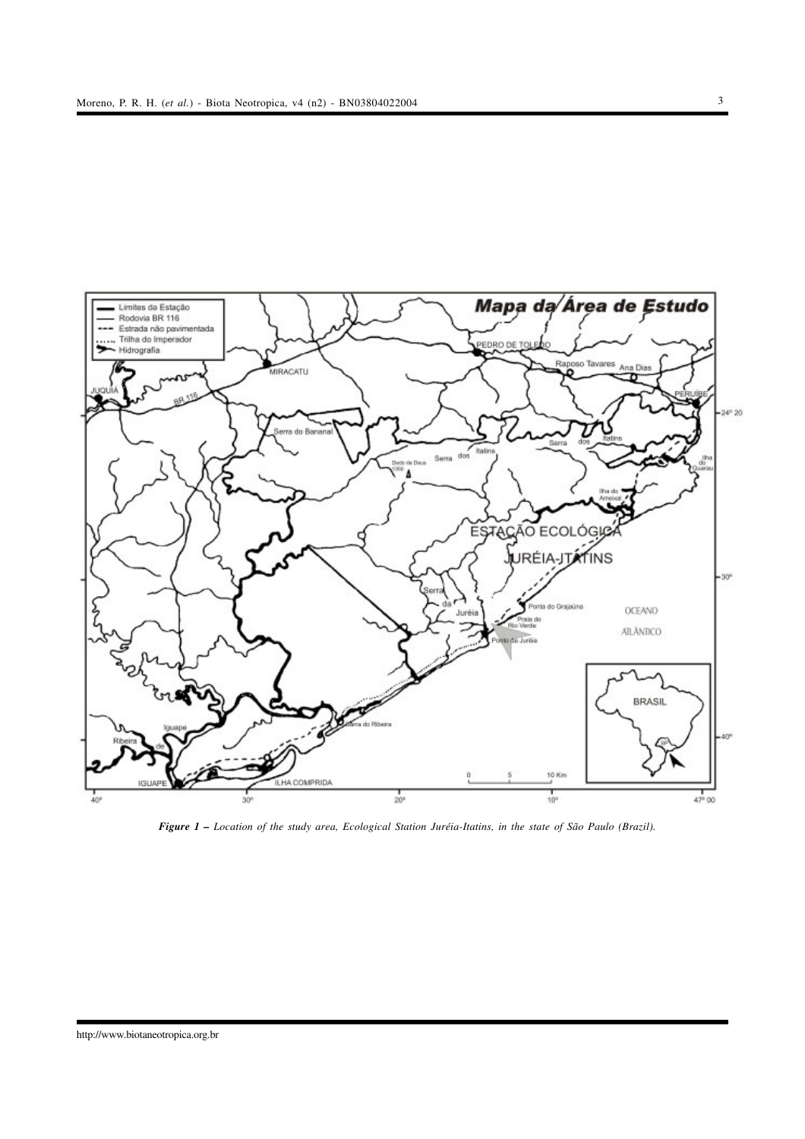

*Figure 1 – Location of the study area, Ecological Station Juréia-Itatins, in the state of São Paulo (Brazil).*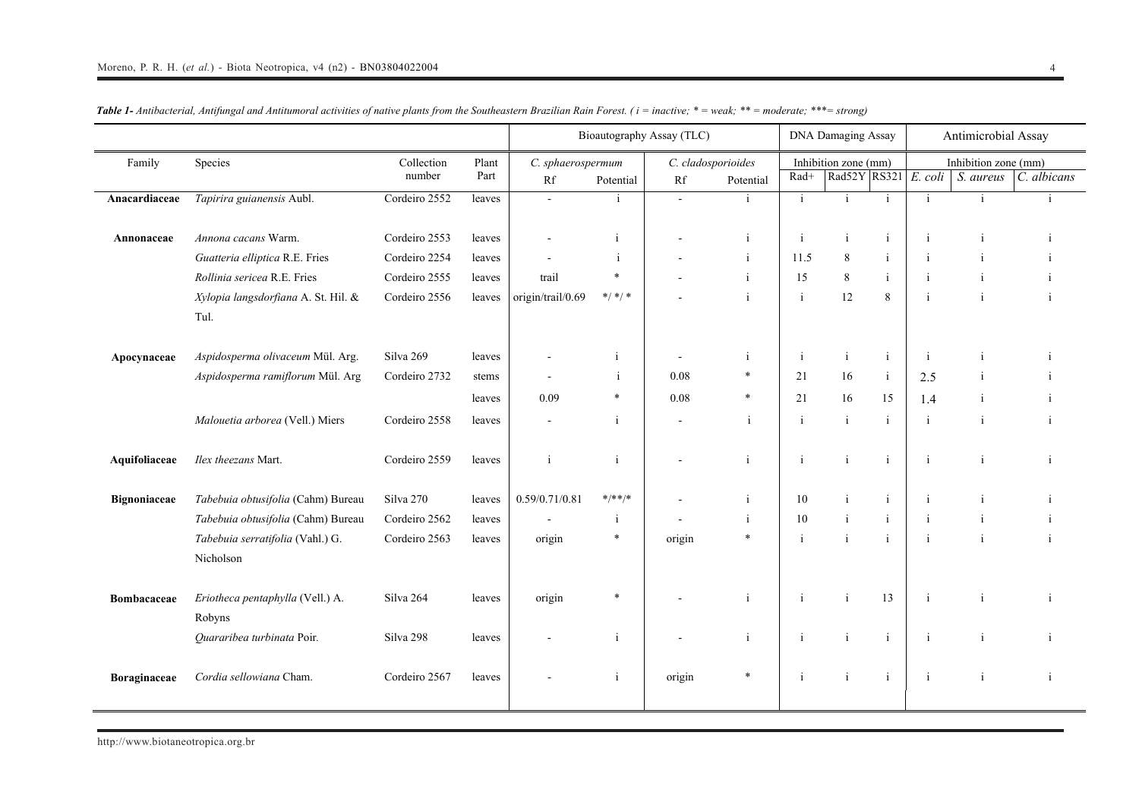|                    |                                               |                      |               | Bioautography Assay (TLC) |                  |        |                                 |              | <b>DNA Damaging Assay</b>            |              | Antimicrobial Assay |                                   |              |  |
|--------------------|-----------------------------------------------|----------------------|---------------|---------------------------|------------------|--------|---------------------------------|--------------|--------------------------------------|--------------|---------------------|-----------------------------------|--------------|--|
| Family             | Species                                       | Collection<br>number | Plant<br>Part | C. sphaerospermum<br>Rf   | Potential        | Rf     | C. cladosporioides<br>Potential | Rad+         | Inhibition zone (mm)<br>Rad52Y RS321 |              | E. coli             | Inhibition zone (mm)<br>S. aureus | C. albicans  |  |
| Anacardiaceae      | Tapirira guianensis Aubl.                     | Cordeiro 2552        | leaves        | $\sim$                    | $\mathbf{1}$     | $\sim$ | j.                              | $\mathbf{i}$ | $\mathbf{i}$                         | $\mathbf{1}$ | $\mathbf{i}$        |                                   |              |  |
| Annonaceae         | Annona cacans Warm.                           | Cordeiro 2553        | leaves        |                           | i                |        | $\mathbf{i}$                    | $\mathbf{i}$ | $\mathbf{i}$                         | $\mathbf{i}$ | $\mathbf{i}$        | $\mathbf{i}$                      |              |  |
|                    | Guatteria elliptica R.E. Fries                | Cordeiro 2254        | leaves        |                           | $\mathbf{i}$     |        | $\mathbf{i}$                    | 11.5         | 8                                    | $\mathbf{i}$ | -i                  |                                   |              |  |
|                    | Rollinia sericea R.E. Fries                   | Cordeiro 2555        | leaves        | trail                     | $\ast$           |        | i                               | 15           | $\,8\,$                              | $\mathbf{i}$ |                     |                                   |              |  |
|                    | Xylopia langsdorfiana A. St. Hil. &<br>Tul.   | Cordeiro 2556        | leaves        | origin/trail/0.69         | $\ast/\ast/\ast$ |        | $\mathbf{i}$                    | $\mathbf{i}$ | 12                                   | 8            | $\mathbf{i}$        |                                   | $\mathbf{i}$ |  |
| Apocynaceae        | Aspidosperma olivaceum Mül. Arg.              | Silva 269            | leaves        |                           |                  |        | -i                              | j.           | $\mathbf{i}$                         | $\mathbf{i}$ | -i                  |                                   |              |  |
|                    | Aspidosperma ramiflorum Mül. Arg              | Cordeiro 2732        | stems         |                           | $\mathbf{i}$     | 0.08   | $\ast$                          | 21           | 16                                   | $\mathbf{i}$ | 2.5                 |                                   |              |  |
|                    |                                               |                      | leaves        | 0.09                      | $\ast$           | 0.08   | $\ast$                          | 21           | 16                                   | 15           | 1.4                 | j.                                |              |  |
|                    | Malouetia arborea (Vell.) Miers               | Cordeiro 2558        | leaves        | $\sim$                    | $\mathbf{i}$     |        | $\mathbf{i}$                    | $\mathbf{i}$ | $\mathbf{i}$                         | $\mathbf{i}$ | $\mathbf{i}$        | $\mathbf{i}$                      |              |  |
| Aquifoliaceae      | Ilex theezans Mart.                           | Cordeiro 2559        | leaves        | j                         | $\mathbf{i}$     |        | $\mathbf{i}$                    | $\mathbf{i}$ | $\mathbf{i}$                         | $\mathbf{i}$ | $\mathbf{i}$        | $\mathbf{i}$                      | $\mathbf{i}$ |  |
| Bignoniaceae       | Tabebuia obtusifolia (Cahm) Bureau            | Silva 270            | leaves        | 0.59/0.71/0.81            | $*$ /**/*        |        | j.                              | 10           | $\mathbf{i}$                         | $\mathbf{i}$ | -i                  |                                   |              |  |
|                    | Tabebuia obtusifolia (Cahm) Bureau            | Cordeiro 2562        | leaves        |                           | j.               |        | $\mathbf{i}$                    | 10           | $\rm i$                              | $\mathbf{i}$ | $\mathbf{i}$        |                                   |              |  |
|                    | Tabebuia serratifolia (Vahl.) G.<br>Nicholson | Cordeiro 2563        | leaves        | origin                    | $\ast$           | origin | $\ast$                          | $\mathbf{i}$ | $\mathbf{i}$                         | $\mathbf{i}$ | $\mathbf{i}$        |                                   |              |  |
| <b>Bombacaceae</b> | Eriotheca pentaphylla (Vell.) A.<br>Robyns    | Silva 264            | leaves        | origin                    | $\ast$           |        | $\mathbf{i}$                    | j            | $\mathbf{i}$                         | 13           | -i                  |                                   |              |  |
|                    | Quararibea turbinata Poir.                    | Silva 298            | leaves        |                           | $\mathbf{i}$     |        | $\mathbf{i}$                    | $\mathbf{i}$ | $\mathbf{i}$                         | $\mathbf{i}$ | $\mathbf{i}$        | $\mathbf{i}$                      |              |  |
| Boraginaceae       | Cordia sellowiana Cham.                       | Cordeiro 2567        | leaves        |                           |                  | origin | $\ast$                          | $\mathbf{i}$ | $\mathbf{i}$                         | $\mathbf{i}$ | $\mathbf{i}$        | $\mathbf{i}$                      | $\mathbf{i}$ |  |

Table 1- Antibacterial, Antifungal and Antitumoral activities of native plants from the Southeastern Brazilian Rain Forest. (i = inactive; \* = weak; \*\* = moderate; \*\*\*= strong)

http://www.biotaneotropica.org.br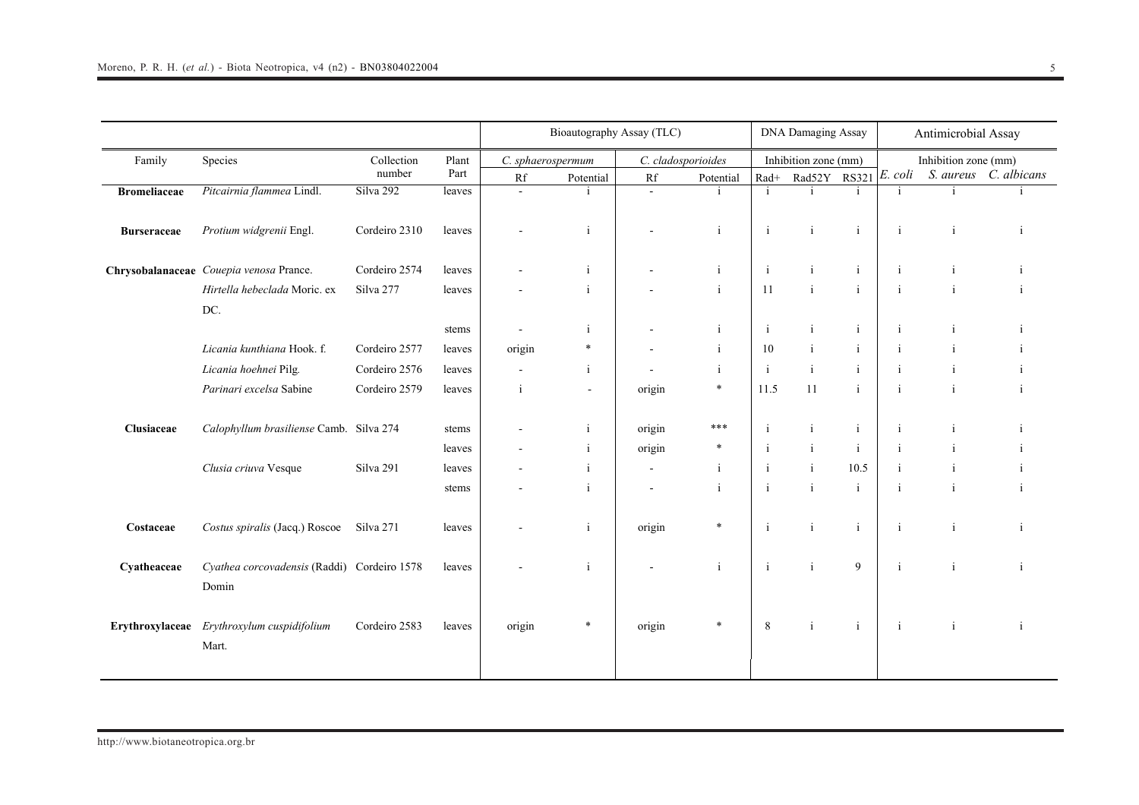|                     |                                             |               |        | Bioautography Assay (TLC) |              |                    |              |              | <b>DNA Damaging Assay</b> |              |              | Antimicrobial Assay  |                       |  |
|---------------------|---------------------------------------------|---------------|--------|---------------------------|--------------|--------------------|--------------|--------------|---------------------------|--------------|--------------|----------------------|-----------------------|--|
| Family              | Species                                     | Collection    | Plant  | C. sphaerospermum         |              | C. cladosporioides |              |              | Inhibition zone (mm)      |              |              | Inhibition zone (mm) |                       |  |
|                     |                                             | number        | Part   | Rf                        | Potential    | Rf                 | Potential    | $\rm Rad+$   | Rad52Y                    | <b>RS321</b> | E. coli      |                      | S. aureus C. albicans |  |
| <b>Bromeliaceae</b> | Pitcairnia flammea Lindl.                   | Silva 292     | leaves | $\blacksquare$            |              | $\sim$             |              | $\mathbf{i}$ | j                         | i.           | $\mathbf{i}$ | $\mathbf{i}$         |                       |  |
|                     |                                             |               |        |                           |              |                    |              |              |                           |              |              |                      |                       |  |
| <b>Burseraceae</b>  | Protium widgrenii Engl.                     | Cordeiro 2310 | leaves |                           | $\mathbf{i}$ |                    | $\mathbf{i}$ | $\mathbf{i}$ | $\rm i$                   | $\mathbf{i}$ | $\mathbf{i}$ | $\mathbf{i}$         | i                     |  |
|                     |                                             |               |        |                           |              |                    |              |              |                           |              |              |                      |                       |  |
|                     | Chrysobalanaceae Couepia venosa Prance.     | Cordeiro 2574 | leaves |                           | $\mathbf{i}$ |                    | $\mathbf{i}$ | $\mathbf{i}$ | $\mathbf{i}$              | $\mathbf{i}$ | $\mathbf{i}$ | $\mathbf{i}$         |                       |  |
|                     | Hirtella hebeclada Moric. ex                | Silva 277     | leaves |                           | $\mathbf{i}$ |                    | $\mathbf{i}$ | 11           | $\mathbf{i}$              | $\mathbf{i}$ | $\mathbf{i}$ | $\mathbf{i}$         |                       |  |
|                     | DC.                                         |               |        |                           |              |                    |              |              |                           |              |              |                      |                       |  |
|                     |                                             |               | stems  |                           | $\mathbf{i}$ |                    | i            | $\mathbf{i}$ | $\mathbf{i}$              | $\mathbf{i}$ | $\mathbf{i}$ | $\mathbf{i}$         |                       |  |
|                     | Licania kunthiana Hook. f.                  | Cordeiro 2577 | leaves | origin                    | *            |                    | $\mathbf{i}$ | 10           | $\mathbf{i}$              | i            | $\mathbf{i}$ |                      |                       |  |
|                     | Licania hoehnei Pilg.                       | Cordeiro 2576 | leaves | $\blacksquare$            | $\mathbf{i}$ |                    | $\mathbf{i}$ | $\mathbf{i}$ | $\mathbf{i}$              | $\mathbf{i}$ | $\mathbf{i}$ | $\mathbf{i}$         |                       |  |
|                     | Parinari excelsa Sabine                     | Cordeiro 2579 | leaves | $\mathbf{i}$              | $\sim$       | origin             | $\ast$       | 11.5         | 11                        | $\mathbf{i}$ | $\mathbf{i}$ | $\mathbf{i}$         |                       |  |
|                     |                                             |               |        |                           |              |                    |              |              |                           |              |              |                      |                       |  |
| Clusiaceae          | Calophyllum brasiliense Camb. Silva 274     |               | stems  |                           | i            | origin             | ***          | $\mathbf{i}$ | $\mathbf{i}$              | $\mathbf{i}$ | $\mathbf{i}$ | $\mathbf{i}$         |                       |  |
|                     |                                             |               | leaves |                           | $\mathbf{i}$ | origin             | $\ast$       | $\mathbf{i}$ | $\mathbf{i}$              | $\mathbf{i}$ | $\mathbf{i}$ | j                    |                       |  |
|                     | Clusia criuva Vesque                        | Silva 291     | leaves |                           | $\mathbf{i}$ | ÷,                 | $\mathbf{i}$ | $\mathbf{i}$ | $\mathbf{i}$              | 10.5         | $\mathbf{i}$ | i                    |                       |  |
|                     |                                             |               | stems  |                           | $\mathbf{i}$ |                    | $\mathbf{i}$ | $\mathbf{i}$ | $\mathbf{i}$              | $\mathbf{i}$ | $\mathbf{i}$ | $\mathbf{i}$         |                       |  |
|                     |                                             |               |        |                           |              |                    |              |              |                           |              |              |                      |                       |  |
| Costaceae           | Costus spiralis (Jacq.) Roscoe              | Silva 271     | leaves |                           | $\mathbf{i}$ | origin             | $\ast$       | $\mathbf{i}$ | $\mathbf{i}$              | $\mathbf{i}$ | $\mathbf{i}$ | $\mathbf{i}$         | -i                    |  |
|                     |                                             |               |        |                           |              |                    |              |              |                           |              |              |                      |                       |  |
| Cyatheaceae         | Cyathea corcovadensis (Raddi) Cordeiro 1578 |               | leaves |                           | $\mathbf{i}$ |                    | $\mathbf{i}$ | $\mathbf{i}$ | $\mathbf{i}$              | 9            | $\mathbf{i}$ | $\mathbf{i}$         |                       |  |
|                     | Domin                                       |               |        |                           |              |                    |              |              |                           |              |              |                      |                       |  |
|                     |                                             |               |        |                           |              |                    |              |              |                           |              |              |                      |                       |  |
| Erythroxylaceae     | Erythroxylum cuspidifolium                  | Cordeiro 2583 | leaves | origin                    | $\ast$       | origin             | $\ast$       | 8            | $\mathbf{i}$              | $\mathbf{i}$ | $\mathbf{i}$ | $\mathbf{i}$         | $\mathbf{i}$          |  |
|                     | Mart.                                       |               |        |                           |              |                    |              |              |                           |              |              |                      |                       |  |
|                     |                                             |               |        |                           |              |                    |              |              |                           |              |              |                      |                       |  |
|                     |                                             |               |        |                           |              |                    |              |              |                           |              |              |                      |                       |  |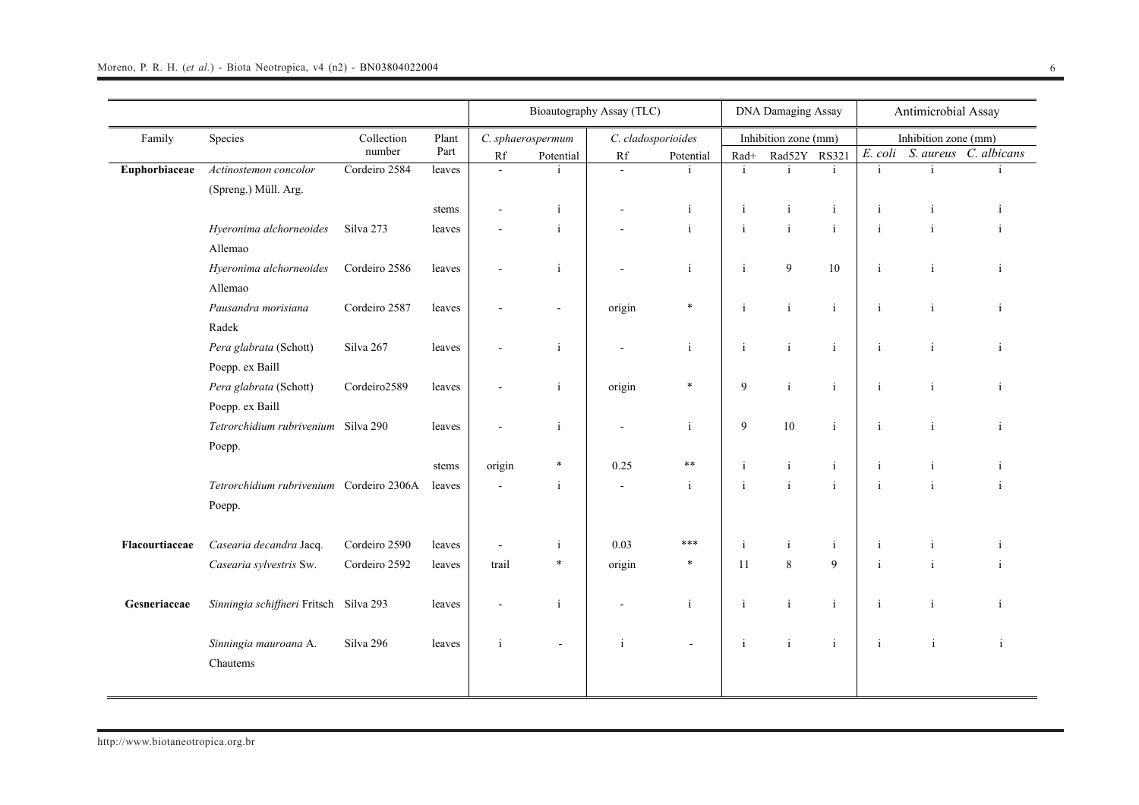|                |                                                    |                      |               |              |                                | Bioautography Assay (TLC) |                                 | <b>DNA Damaging Assay</b> |                                |              | Antimicrobial Assay |                      |                       |  |
|----------------|----------------------------------------------------|----------------------|---------------|--------------|--------------------------------|---------------------------|---------------------------------|---------------------------|--------------------------------|--------------|---------------------|----------------------|-----------------------|--|
| Family         | Species                                            | Collection<br>number | Plant<br>Part | Rf           | C. sphaerospermum<br>Potential | $\mathbf{R}\mathbf{f}$    | C. cladosporioides<br>Potential | $Rad+$                    | Inhibition zone (mm)<br>Rad52Y | <b>RS321</b> | E. coli             | Inhibition zone (mm) | S. aureus C. albicans |  |
| Euphorbiaceae  | Actinostemon concolor<br>(Spreng.) Müll. Arg.      | Cordeiro 2584        | leaves        | $\sim$       |                                | $\omega$                  |                                 | $\mathbf{i}$              |                                | i.           | $\mathbf{i}$        |                      |                       |  |
|                |                                                    |                      | stems         |              | $\mathbf{i}$                   |                           | $\mathbf{i}$                    | j                         | j                              | $\rm i$      | j                   | $\mathbf{1}$         |                       |  |
|                | Hyeronima alchorneoides<br>Allemao                 | Silva 273            | leaves        |              | $\mathbf{i}$                   |                           | $\mathbf{i}$                    | $\mathbf{i}$              | $\mathbf{i}$                   | $\mathbf{i}$ | j                   | i                    |                       |  |
|                | Hyeronima alchorneoides<br>Allemao                 | Cordeiro 2586        | leaves        |              | $\mathbf{i}$                   |                           | $\mathbf{i}$                    | $\mathbf{i}$              | 9                              | $10\,$       | $\mathbf{i}$        | j.                   | i                     |  |
|                | Pausandra morisiana<br>Radek                       | Cordeiro 2587        | leaves        |              | $\blacksquare$                 | origin                    | $\ast$                          | $\mathbf{i}$              | $\mathbf{i}$                   | $\mathbf{i}$ | $\mathbf{i}$        | $\mathbf{i}$         | i                     |  |
|                | Pera glabrata (Schott)<br>Poepp. ex Baill          | Silva 267            | leaves        |              | $\mathbf{i}$                   |                           | $\mathbf{i}$                    | $\mathbf{i}$              | $\mathbf{i}$                   | $\mathbf{i}$ | $\mathbf{i}$        | $\mathbf{i}$         | i                     |  |
|                | Pera glabrata (Schott)<br>Poepp. ex Baill          | Cordeiro2589         | leaves        |              | $\mathbf{i}$                   | origin                    | $\ast$                          | 9                         | $\mathbf{i}$                   | $\rm i$      | j                   | j                    | i                     |  |
|                | Tetrorchidium rubrivenium Silva 290<br>Poepp.      |                      | leaves        |              | $\mathbf{i}$                   |                           | $\mathbf{i}$                    | 9                         | 10                             | $\mathbf{i}$ | $\mathbf{i}$        | $\mathbf{i}$         | i                     |  |
|                |                                                    |                      | stems         | origin       | $\ast$                         | 0.25                      | **                              | $\mathbf{i}$              | $\mathbf{i}$                   | $\mathbf{i}$ | $\mathbf{i}$        | i                    | $\mathbf{1}$          |  |
|                | Tetrorchidium rubrivenium Cordeiro 2306A<br>Poepp. |                      | leaves        |              | $\mathbf{i}$                   | $\blacksquare$            | $\mathbf{i}$                    | $\mathbf{i}$              | $\mathbf{i}$                   | $\mathbf{i}$ | $\mathbf{i}$        | i                    | i                     |  |
| Flacourtiaceae | Casearia decandra Jacq.                            | Cordeiro 2590        | leaves        |              | i                              | 0.03                      | ***                             | $\mathbf{i}$              | $\mathbf{i}$                   | $\mathbf{i}$ | $\mathbf{i}$        | i                    |                       |  |
|                | Casearia sylvestris Sw.                            | Cordeiro 2592        | leaves        | trail        | $\ast$                         | origin                    | $\ast$                          | 11                        | $\,8\,$                        | 9            | j                   | $\mathbf{i}$         | $\blacksquare$        |  |
| Gesneriaceae   | Sinningia schiffneri Fritsch Silva 293             |                      | leaves        |              | $\mathbf{i}$                   |                           | $\mathbf{i}$                    | $\mathbf{i}$              | $\rm i$                        | $\mathbf{i}$ | $\mathbf{i}$        | i                    | j                     |  |
|                | Sinningia mauroana A.<br>Chautems                  | Silva 296            | leaves        | $\mathbf{i}$ | $\overline{a}$                 | $\mathbf{i}$              |                                 | $\mathbf{i}$              | $\rm i$                        | $\mathbf{i}$ | $\mathbf{i}$        | $\mathbf{i}$         | $\mathbf{i}$          |  |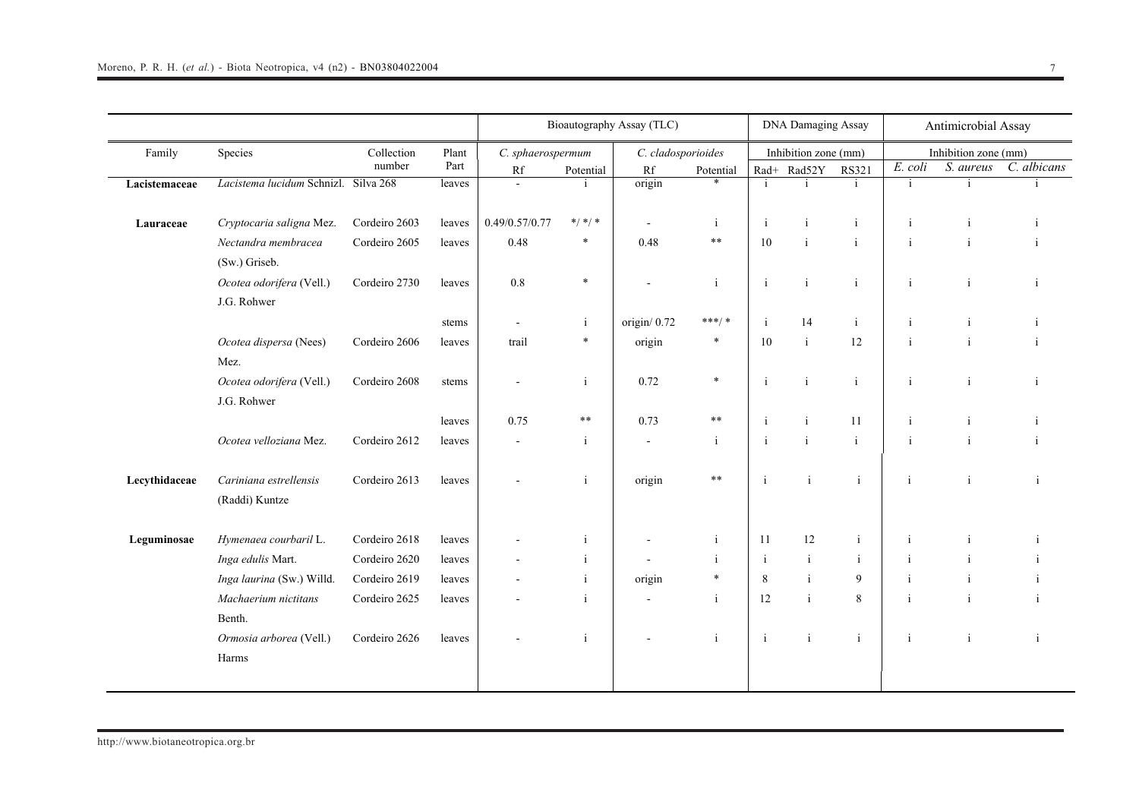|               |                                          |                      |               | Bioautography Assay (TLC) |              |                    |                     |              | <b>DNA Damaging Assay</b> |                              |              | Antimicrobial Assay               |              |  |
|---------------|------------------------------------------|----------------------|---------------|---------------------------|--------------|--------------------|---------------------|--------------|---------------------------|------------------------------|--------------|-----------------------------------|--------------|--|
| Family        | Species                                  | Collection<br>number | Plant<br>Part | C. sphaerospermum         |              | C. cladosporioides |                     |              | Inhibition zone (mm)      |                              | E. coli      | Inhibition zone (mm)<br>S. aureus | C. albicans  |  |
|               | Lacistema lucidum Schnizl. Silva 268     |                      |               | Rf<br>$\sim$              | Potential    | Rf<br>origin       | Potential<br>$\ast$ | $\mathbf{i}$ | Rad+ Rad52Y<br>i.         | <b>RS321</b><br>$\mathbf{i}$ | $\mathbf{i}$ | i.                                |              |  |
| Lacistemaceae |                                          |                      | leaves        |                           |              |                    |                     |              |                           |                              |              |                                   |              |  |
| Lauraceae     | Cryptocaria saligna Mez.                 | Cordeiro 2603        | leaves        | 0.49/0.57/0.77            | $*/ * / *$   |                    | <sup>i</sup>        | $\mathbf{i}$ | i                         | i                            | $\mathbf{i}$ | $\mathbf{1}$                      |              |  |
|               | Nectandra membracea<br>(Sw.) Griseb.     | Cordeiro 2605        | leaves        | 0.48                      | $\ast$       | 0.48               | $\ast\ast$          | 10           | $\mathbf{i}$              | $\mathbf{i}$                 | $\mathbf{i}$ | $\mathbf{i}$                      | ÷            |  |
|               | Ocotea odorifera (Vell.)<br>J.G. Rohwer  | Cordeiro 2730        | leaves        | $0.8\,$                   | $\ast$       |                    | $\mathbf{i}$        | $\mathbf{i}$ | $\mathbf{i}$              | $\mathbf{i}$                 | $\mathbf{i}$ |                                   | i            |  |
|               |                                          |                      | stems         | $\sim$                    | $\mathbf{i}$ | origin/0.72        | ***/ *              | $\mathbf{i}$ | 14                        | $\mathbf{i}$                 | $\mathbf{i}$ | $\mathbf{i}$                      |              |  |
|               | Ocotea dispersa (Nees)<br>Mez.           | Cordeiro 2606        | leaves        | trail                     | $\ast$       | origin             | $\ast$              | 10           | $\mathbf{i}$              | 12                           |              |                                   |              |  |
|               | Ocotea odorifera (Vell.)<br>J.G. Rohwer  | Cordeiro 2608        | stems         |                           | i            | 0.72               | $\ast$              | $\mathbf{i}$ | $\mathbf{i}$              | $\mathbf{i}$                 | $\mathbf{i}$ | $\mathbf{i}$                      | $\mathbf{i}$ |  |
|               |                                          |                      | leaves        | 0.75                      | $***$        | 0.73               | $***$               | $\mathbf{i}$ |                           | 11                           | j            |                                   |              |  |
|               | Ocotea velloziana Mez.                   | Cordeiro 2612        | leaves        |                           | $\mathbf{i}$ |                    | $\mathbf{i}$        | $\mathbf{i}$ | $\mathbf{i}$              | $\mathbf{i}$                 | ji           |                                   |              |  |
| Lecythidaceae | Cariniana estrellensis<br>(Raddi) Kuntze | Cordeiro 2613        | leaves        |                           | $\mathbf{i}$ | origin             | **                  | $\mathbf{i}$ | $\mathbf{i}$              | $\mathbf{i}$                 | $\mathbf{i}$ | $\mathbf{i}$                      | <sup>i</sup> |  |
| Leguminosae   | Hymenaea courbaril L.                    | Cordeiro 2618        | leaves        |                           | $\mathbf{i}$ |                    | $\mathbf{i}$        | 11           | 12                        | $\mathbf{i}$                 | $\mathbf{i}$ | $\mathbf{1}$                      |              |  |
|               | Inga edulis Mart.                        | Cordeiro 2620        | leaves        |                           | j.           |                    | <sup>i</sup>        | $\mathbf{i}$ | $\mathbf{i}$              | i                            | i            |                                   |              |  |
|               | Inga laurina (Sw.) Willd.                | Cordeiro 2619        | leaves        |                           | $\mathbf{i}$ | origin             | $\ast$              | 8            | $\mathbf{i}$              | 9                            | $\mathbf{i}$ | $\mathbf{i}$                      |              |  |
|               | Machaerium nictitans<br>Benth.           | Cordeiro 2625        | leaves        |                           | i            |                    | $\mathbf{i}$        | 12           | $\mathbf{i}$              | 8                            | $\mathbf{i}$ | $\mathbf{i}$                      | $\mathbf{1}$ |  |
|               | Ormosia arborea (Vell.)<br>Harms         | Cordeiro 2626        | leaves        |                           | j.           |                    | $\mathbf{i}$        | $\mathbf{i}$ | $\mathbf{i}$              | $\mathbf{i}$                 | $\mathbf{i}$ |                                   | j.           |  |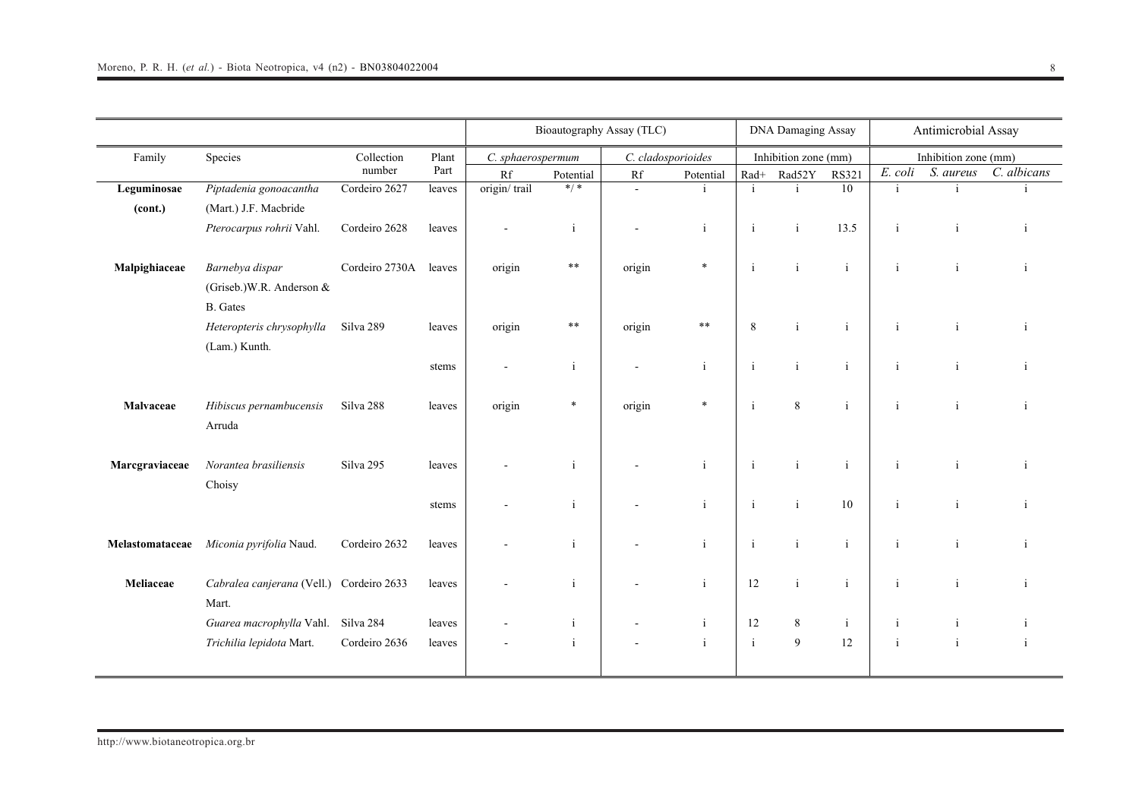|                 |                                                                 |                |                                                                                                  | Bioautography Assay (TLC) |              |                        | <b>DNA Damaging Assay</b> |              |                      |              | Antimicrobial Assay |                                                                                                                                                                                                                    |              |
|-----------------|-----------------------------------------------------------------|----------------|--------------------------------------------------------------------------------------------------|---------------------------|--------------|------------------------|---------------------------|--------------|----------------------|--------------|---------------------|--------------------------------------------------------------------------------------------------------------------------------------------------------------------------------------------------------------------|--------------|
| Family          | Species                                                         | Collection     | Plant<br>C. sphaerospermum<br>Part<br>Rf<br>origin/trail<br>leaves<br>leaves<br>origin<br>leaves |                           |              |                        | C. cladosporioides        |              | Inhibition zone (mm) |              |                     |                                                                                                                                                                                                                    |              |
|                 |                                                                 | number         |                                                                                                  |                           | Potential    | $\mathbf{R}\mathbf{f}$ | Potential                 | $Rad+$       | Rad52Y               | <b>RS321</b> | E. coli             | Inhibition zone (mm)<br>S. aureus<br>$\mathbf{i}$<br>$\rm i$<br>$\rm i$<br>$\mathbf{i}$<br>$\mathbf{i}$<br>$\mathbf{i}$<br>$\mathbf{i}$<br>$\mathbf{i}$<br>$\mathbf{i}$<br>$\mathbf{i}$<br>$\mathbf{i}$<br>$\rm i$ | C. albicans  |
| Leguminosae     | Piptadenia gonoacantha                                          | Cordeiro 2627  |                                                                                                  |                           | $* / *$      | $\mathbf{r}$           |                           | $\mathbf{i}$ | $\mathbf{i}$         | 10           | $\mathbf{i}$        |                                                                                                                                                                                                                    |              |
| (cont.)         | (Mart.) J.F. Macbride                                           |                |                                                                                                  |                           |              |                        |                           |              |                      |              |                     |                                                                                                                                                                                                                    |              |
|                 | Pterocarpus rohrii Vahl.                                        | Cordeiro 2628  |                                                                                                  |                           | $\mathbf{i}$ |                        | $\mathbf{i}$              | $\mathbf{i}$ | $\mathbf{i}$         | 13.5         | $\mathbf{i}$        |                                                                                                                                                                                                                    | j.           |
| Malpighiaceae   | Barnebya dispar<br>(Griseb.) W.R. Anderson &<br><b>B.</b> Gates | Cordeiro 2730A |                                                                                                  |                           | $**$         | origin                 | $\ast$                    | $\mathbf{i}$ | $\mathbf{i}$         | $\mathbf{i}$ | $\mathbf{i}$        |                                                                                                                                                                                                                    | $\mathbf{i}$ |
|                 | Heteropteris chrysophylla<br>(Lam.) Kunth.                      | Silva 289      | leaves                                                                                           | origin                    | $\ast\ast$   | origin                 | $**$                      | $\,8\,$      | $\mathbf{i}$         | $\mathbf{i}$ | $\mathbf{i}$        |                                                                                                                                                                                                                    | $\mathbf{i}$ |
|                 |                                                                 |                | stems                                                                                            | $\blacksquare$            | $\mathbf{i}$ | $\blacksquare$         | $\mathbf{i}$              | $\mathbf{i}$ | $\mathbf{i}$         | $\mathbf{i}$ | $\mathbf{i}$        |                                                                                                                                                                                                                    |              |
| Malvaceae       | Hibiscus pernambucensis<br>Arruda                               | Silva 288      | leaves                                                                                           | origin                    | $\ast$       | origin                 | $\ast$                    | $\mathbf{i}$ | $8\,$                | $\mathbf{i}$ | i                   |                                                                                                                                                                                                                    | $\mathbf{i}$ |
| Marcgraviaceae  | Norantea brasiliensis<br>Choisy                                 | Silva 295      | leaves                                                                                           |                           | $\mathbf{i}$ |                        | $\mathbf{i}$              | $\mathbf{i}$ | $\mathbf{i}$         | $\mathbf{i}$ | $\mathbf{i}$        |                                                                                                                                                                                                                    | -i           |
|                 |                                                                 |                | stems                                                                                            |                           | $\mathbf{i}$ |                        | $\mathbf{i}$              | $\mathbf{i}$ | $\mathbf{i}$         | 10           | i                   |                                                                                                                                                                                                                    |              |
| Melastomataceae | Miconia pyrifolia Naud.                                         | Cordeiro 2632  | leaves                                                                                           |                           | $\mathbf{i}$ |                        | $\mathbf{i}$              | $\mathbf{i}$ | $\mathbf{i}$         | $\mathbf{i}$ | $\mathbf{i}$        |                                                                                                                                                                                                                    | ji           |
| Meliaceae       | Cabralea canjerana (Vell.)<br>Mart.                             | Cordeiro 2633  | leaves                                                                                           |                           | $\mathbf{i}$ |                        | $\mathbf{i}$              | 12           | $\rm i$              | $\mathbf{i}$ | $\mathbf{i}$        |                                                                                                                                                                                                                    | $\mathbf{i}$ |
|                 | Guarea macrophylla Vahl.                                        | Silva 284      | leaves                                                                                           |                           | $\mathbf{i}$ |                        | <sup>i</sup>              | 12           | 8                    | $\mathbf{i}$ | $\mathbf{i}$        |                                                                                                                                                                                                                    |              |
|                 | Trichilia lepidota Mart.                                        | Cordeiro 2636  | leaves                                                                                           |                           | $\mathbf{i}$ |                        | $\rm i$                   | $\mathbf{i}$ | 9                    | 12           | $\mathbf{i}$        |                                                                                                                                                                                                                    | $\mathbf{i}$ |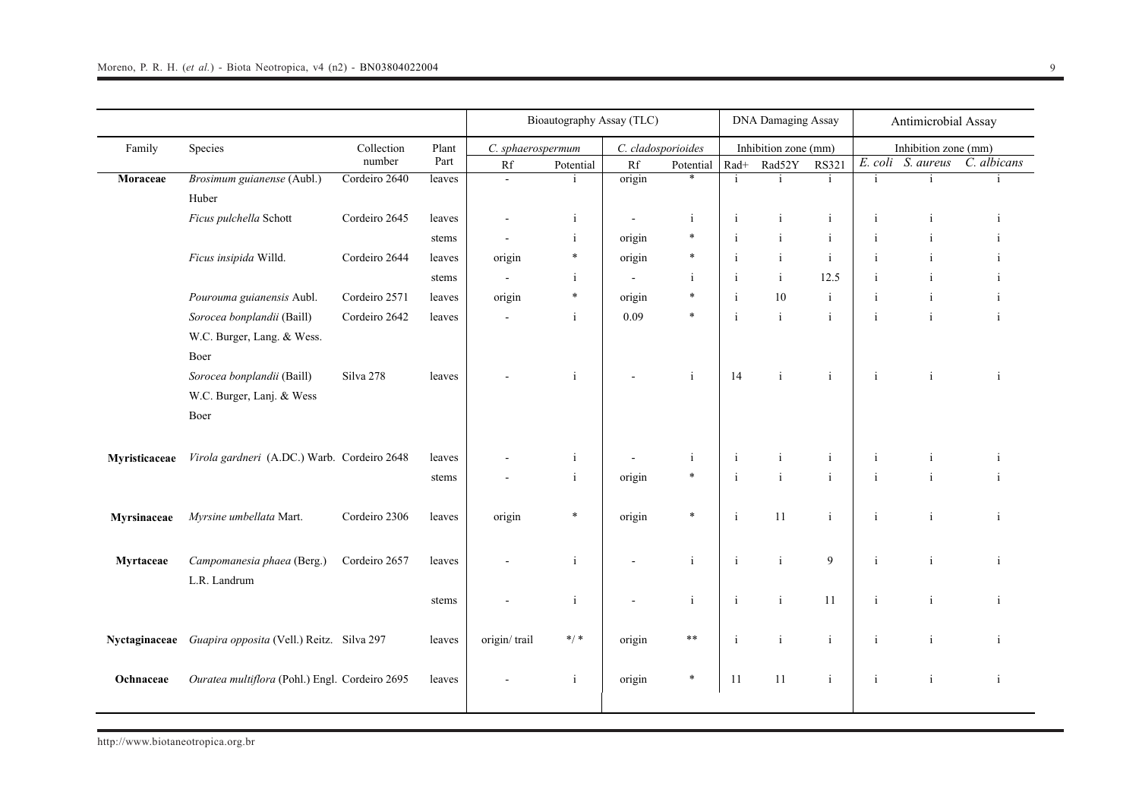|               |                                                |               |        | Bioautography Assay (TLC) |              |                        |                    | DNA Damaging Assay |                      |              | Antimicrobial Assay |                      |              |
|---------------|------------------------------------------------|---------------|--------|---------------------------|--------------|------------------------|--------------------|--------------------|----------------------|--------------|---------------------|----------------------|--------------|
| Family        | Species                                        | Collection    | Plant  | C. sphaerospermum         |              |                        | C. cladosporioides |                    | Inhibition zone (mm) |              |                     | Inhibition zone (mm) |              |
|               |                                                | number        | Part   | Rf                        | Potential    | $\mathbf{R}\mathbf{f}$ | Potential          | $\rm Rad+$         | Rad52Y               | <b>RS321</b> |                     | E. coli S. aureus    | C. albicans  |
| Moraceae      | Brosimum guianense (Aubl.)                     | Cordeiro 2640 | leaves | $\blacksquare$            |              | origin                 | $\ast$             | i.                 | i.                   | $\mathbf{i}$ | $\mathbf{i}$        | i                    |              |
|               | Huber                                          |               |        |                           |              |                        |                    |                    |                      |              |                     |                      |              |
|               | Ficus pulchella Schott                         | Cordeiro 2645 | leaves | $\blacksquare$            | $\mathbf{i}$ | $\mathbf{r}$           | $\mathbf{i}$       | i                  | $\mathbf{i}$         | $\rm i$      | $\mathbf{i}$        | i                    |              |
|               |                                                |               | stems  | $\mathbf{r}$              | $\mathbf{i}$ | origin                 | $\ast$             | j.                 | $\rm i$              | $\rm i$      | $\mathbf{i}$        | $\mathbf{i}$         |              |
|               | Ficus insipida Willd.                          | Cordeiro 2644 | leaves | origin                    | $\ast$       | origin                 | $\ast$             | $\mathbf{i}$       | $\mathbf{i}$         | $\mathbf{i}$ | $\mathbf{i}$        | i                    |              |
|               |                                                |               | stems  | $\mathbf{r}$              | $\mathbf{i}$ | $\blacksquare$         | $\mathbf{i}$       | $\mathbf{i}$       | $\rm i$              | 12.5         | $\mathbf{i}$        | $\mathbf{i}$         |              |
|               | Pourouma guianensis Aubl.                      | Cordeiro 2571 | leaves | origin                    | $\ast$       | origin                 | $\ast$             | $\mathbf{i}$       | 10                   | $\rm i$      | $\rm i$             | $\rm i$              |              |
|               | Sorocea bonplandii (Baill)                     | Cordeiro 2642 | leaves |                           | $\mathbf{i}$ | 0.09                   | $\ast$             | $\mathbf{i}$       | $\mathbf{i}$         | $\mathbf{i}$ | $\mathbf{i}$        | $\mathbf{i}$         |              |
|               | W.C. Burger, Lang. & Wess.                     |               |        |                           |              |                        |                    |                    |                      |              |                     |                      |              |
|               | Boer                                           |               |        |                           |              |                        |                    |                    |                      |              |                     |                      |              |
|               | Sorocea bonplandii (Baill)                     | Silva 278     | leaves |                           | $\mathbf{i}$ |                        | $\mathbf{i}$       | 14                 | $\mathbf{i}$         | $\mathbf{i}$ | $\mathbf{i}$        | $\mathbf{i}$         | $\mathbf{i}$ |
|               | W.C. Burger, Lanj. & Wess                      |               |        |                           |              |                        |                    |                    |                      |              |                     |                      |              |
|               | Boer                                           |               |        |                           |              |                        |                    |                    |                      |              |                     |                      |              |
|               |                                                |               |        |                           |              |                        |                    |                    |                      |              |                     |                      |              |
| Myristicaceae | Virola gardneri (A.DC.) Warb. Cordeiro 2648    |               | leaves |                           | $\mathbf{i}$ |                        | $\mathbf{i}$       | $\mathbf{i}$       | $\mathbf{i}$         | $\rm i$      | $\mathbf{i}$        | $\mathbf{i}$         |              |
|               |                                                |               | stems  |                           | $\mathbf{i}$ | origin                 | $\ast$             | $\mathbf{i}$       | $\mathbf{i}$         | $\mathbf{i}$ | $\mathbf{i}$        | $\mathbf{i}$         |              |
|               |                                                |               |        |                           |              |                        |                    |                    |                      |              |                     |                      |              |
| Myrsinaceae   | Myrsine umbellata Mart.                        | Cordeiro 2306 | leaves | origin                    | $\ast$       | origin                 | $\ast$             | $\mathbf{i}$       | 11                   | $\mathbf{i}$ | $\mathbf{i}$        | $\mathbf{i}$         |              |
|               |                                                |               |        |                           |              |                        |                    |                    |                      |              |                     |                      |              |
|               |                                                |               |        |                           |              |                        |                    |                    |                      |              |                     |                      |              |
| Myrtaceae     | Campomanesia phaea (Berg.)                     | Cordeiro 2657 | leaves |                           | $\mathbf{i}$ |                        | $\mathbf{i}$       | $\mathbf{i}$       | $\mathbf{i}$         | 9            | $\mathbf{i}$        | $\mathbf{i}$         | i            |
|               | L.R. Landrum                                   |               |        |                           |              |                        |                    |                    |                      |              |                     |                      |              |
|               |                                                |               | stems  |                           | $\mathbf{i}$ |                        | $\mathbf{i}$       | $\mathbf{i}$       | $\mathbf{i}$         | 11           | $\mathbf{i}$        | $\mathbf{i}$         | i            |
|               |                                                |               |        |                           |              |                        |                    |                    |                      |              |                     |                      |              |
| Nyctaginaceae | Guapira opposita (Vell.) Reitz. Silva 297      |               | leaves | origin/trail              | $*/*$        | origin                 | $***$              | $\mathbf{i}$       | $\mathbf{i}$         | $\mathbf{i}$ | $\mathbf{i}$        | $\mathbf{i}$         |              |
|               |                                                |               |        |                           |              |                        |                    |                    |                      |              |                     |                      |              |
| Ochnaceae     | Ouratea multiflora (Pohl.) Engl. Cordeiro 2695 |               | leaves |                           | $\mathbf{i}$ | origin                 | $\ast$             | 11                 | 11                   | $\rm i$      | $\rm i$             | $\rm i$              |              |
|               |                                                |               |        |                           |              |                        |                    |                    |                      |              |                     |                      |              |
|               |                                                |               |        |                           |              |                        |                    |                    |                      |              |                     |                      |              |

http://www.biotaneotropica.org.br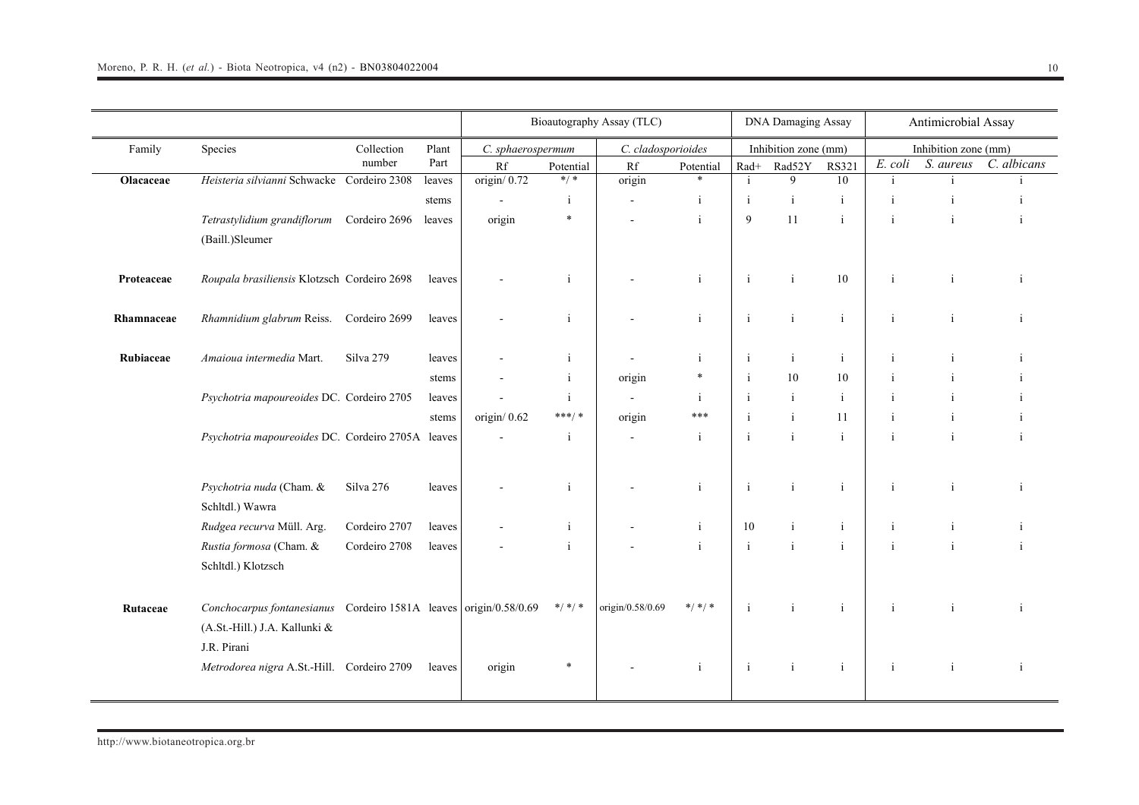|            |                                                                   |                      |               |                         |              | Bioautography Assay (TLC) |              |              | <b>DNA Damaging Assay</b>      |              |              | Antimicrobial Assay               |              |
|------------|-------------------------------------------------------------------|----------------------|---------------|-------------------------|--------------|---------------------------|--------------|--------------|--------------------------------|--------------|--------------|-----------------------------------|--------------|
| Family     | Species                                                           | Collection<br>number | Plant<br>Part | C. sphaerospermum<br>Rf | Potential    | C. cladosporioides<br>Rf  | Potential    | $\rm Rad+$   | Inhibition zone (mm)<br>Rad52Y | <b>RS321</b> | E. coli      | Inhibition zone (mm)<br>S. aureus | C. albicans  |
| Olacaceae  | Heisteria silvianni Schwacke Cordeiro 2308                        |                      | leaves        | origin/0.72             | $* / *$      | origin                    | $\ast$       | $\mathbf{i}$ | 9                              | 10           | $\mathbf{i}$ |                                   |              |
|            |                                                                   |                      | stems         |                         | $\mathbf{i}$ |                           | $\mathbf{i}$ | $\mathbf{i}$ | $\rm i$                        | $\mathbf{i}$ | j            |                                   |              |
|            | Tetrastylidium grandiflorum                                       | Cordeiro 2696        | leaves        | origin                  | $\ast$       |                           | $\mathbf{i}$ | 9            | 11                             | $\mathbf{i}$ | $\mathbf{i}$ | $\mathbf{i}$                      | j.           |
|            | (Baill.)Sleumer                                                   |                      |               |                         |              |                           |              |              |                                |              |              |                                   |              |
|            |                                                                   |                      |               |                         |              |                           |              |              |                                |              |              |                                   |              |
| Proteaceae | Roupala brasiliensis Klotzsch Cordeiro 2698                       |                      | leaves        |                         |              |                           | j            | $\mathbf{i}$ | $\mathbf{i}$                   | 10           | j.           |                                   |              |
|            |                                                                   |                      |               |                         |              |                           |              |              |                                |              |              |                                   |              |
| Rhamnaceae | Rhamnidium glabrum Reiss.                                         | Cordeiro 2699        | leaves        |                         | $\mathbf{i}$ |                           | $\mathbf{i}$ | $\mathbf{i}$ | $\mathbf{i}$                   | $\mathbf{i}$ | $\mathbf{i}$ | $\mathbf{i}$                      |              |
| Rubiaceae  | Amaioua intermedia Mart.                                          | Silva 279            | leaves        |                         | i.           |                           | j            | $\mathbf{i}$ | $\mathbf{i}$                   | $\mathbf{i}$ | $\mathbf{i}$ |                                   |              |
|            |                                                                   |                      | stems         |                         | $\mathbf{i}$ | origin                    | $\ast$       | $\mathbf{i}$ | 10                             | 10           |              |                                   |              |
|            | Psychotria mapoureoides DC. Cordeiro 2705                         |                      | leaves        |                         | $\mathbf{i}$ |                           | $\mathbf{i}$ | $\mathbf{i}$ | $\mathbf{i}$                   | $\mathbf{i}$ | j.           |                                   |              |
|            |                                                                   |                      | stems         | origin/ $0.62$          | $***/$ *     | origin                    | ***          | $\mathbf{i}$ | $\mathbf{i}$                   | 11           | j            | i                                 |              |
|            | Psychotria mapoureoides DC. Cordeiro 2705A leaves                 |                      |               |                         | $\mathbf{i}$ | $\overline{a}$            | $\mathbf{i}$ | $\mathbf{i}$ | $\mathbf{i}$                   | $\mathbf{i}$ | $\mathbf{i}$ | $\mathbf{i}$                      |              |
|            |                                                                   |                      |               |                         |              |                           |              |              |                                |              |              |                                   |              |
|            |                                                                   |                      |               |                         |              |                           |              |              |                                |              |              |                                   |              |
|            | Psychotria nuda (Cham. &                                          | Silva 276            | leaves        |                         |              |                           | $\mathbf{i}$ | $\mathbf{i}$ | $\mathbf{i}$                   | $\mathbf{i}$ | j            |                                   |              |
|            | Schltdl.) Wawra                                                   |                      |               |                         |              |                           |              |              |                                |              |              |                                   |              |
|            | Rudgea recurva Müll. Arg.                                         | Cordeiro 2707        | leaves        |                         | i            |                           | j            | 10           | $\mathbf{i}$<br>$\mathbf{i}$   | $\mathbf{i}$ | j            |                                   |              |
|            | Rustia formosa (Cham. &                                           | Cordeiro 2708        | leaves        |                         |              |                           | $\mathbf{i}$ | $\mathbf{i}$ |                                | $\mathbf{i}$ | i            |                                   |              |
|            | Schltdl.) Klotzsch                                                |                      |               |                         |              |                           |              |              |                                |              |              |                                   |              |
|            |                                                                   |                      |               |                         | $*/*$ /*     | origin/0.58/0.69          | $*/*$ /*     | $\mathbf{i}$ | $\mathbf{i}$                   | $\mathbf{i}$ | $\mathbf{i}$ | $\mathbf{i}$                      |              |
| Rutaceae   | Conchocarpus fontanesianus Cordeiro 1581A leaves origin/0.58/0.69 |                      |               |                         |              |                           |              |              |                                |              |              |                                   |              |
|            | (A.St.-Hill.) J.A. Kallunki &<br>J.R. Pirani                      |                      |               |                         |              |                           |              |              |                                |              |              |                                   |              |
|            |                                                                   |                      |               |                         | $\ast$       |                           | -i           |              |                                |              |              |                                   |              |
|            | Metrodorea nigra A.St.-Hill. Cordeiro 2709                        |                      | leaves        | origin                  |              |                           |              | $\mathbf{i}$ | $\mathbf{i}$                   | $\mathbf{i}$ | $\mathbf{i}$ | $\mathbf{i}$                      | $\mathbf{i}$ |
|            |                                                                   |                      |               |                         |              |                           |              |              |                                |              |              |                                   |              |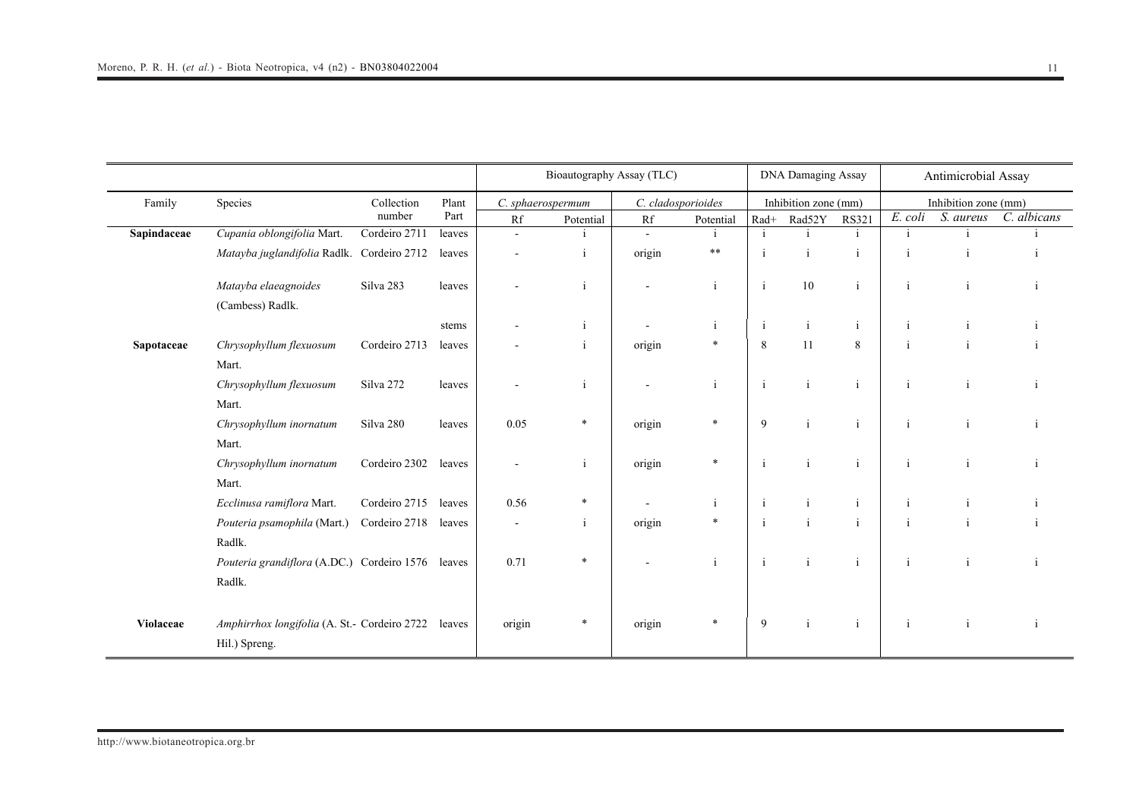|             |                                                   |               |        | Bioautography Assay (TLC) |              |                    |              |              | <b>DNA Damaging Assay</b> |              |                | Antimicrobial Assay  |              |  |
|-------------|---------------------------------------------------|---------------|--------|---------------------------|--------------|--------------------|--------------|--------------|---------------------------|--------------|----------------|----------------------|--------------|--|
| Family      | Species                                           | Collection    | Plant  | C. sphaerospermum         |              | C. cladosporioides |              |              | Inhibition zone (mm)      |              |                | Inhibition zone (mm) |              |  |
|             |                                                   | number        | Part   | Rf                        | Potential    | Rf                 | Potential    | Rad+         | Rad52Y                    | <b>RS321</b> | E. coli        | S. aureus            | C. albicans  |  |
| Sapindaceae | Cupania oblongifolia Mart.                        | Cordeiro 2711 | leaves | L,                        | i            | $\blacksquare$     | i            | $\mathbf{i}$ | $\mathbf{i}$              | $\mathbf{i}$ | $\mathbf{i}$   | i                    |              |  |
|             | Matayba juglandifolia Radlk. Cordeiro 2712        |               | leaves |                           | $\mathbf{i}$ | origin             | $\ast\ast$   | j.           | $\mathbf{i}$              | $\mathbf{i}$ | j.             | $\mathbf{i}$         |              |  |
|             | Matayba elaeagnoides                              | Silva 283     | leaves |                           | $\mathbf{i}$ |                    | $\mathbf{i}$ | $\mathbf{i}$ | $10\,$                    | $\mathbf{i}$ | $\blacksquare$ | $\mathbf{i}$         |              |  |
|             | (Cambess) Radlk.                                  |               |        |                           |              |                    |              |              |                           |              |                |                      |              |  |
|             |                                                   |               | stems  |                           | $\mathbf{1}$ |                    | $\mathbf{1}$ | $\mathbf{1}$ | $\mathbf{i}$              | -i           |                |                      |              |  |
| Sapotaceae  | Chrysophyllum flexuosum                           | Cordeiro 2713 | leaves |                           | $\mathbf{1}$ | origin             | $\ast$       | 8            | 11                        | 8            | $\mathbf{i}$   |                      |              |  |
|             | Mart.                                             |               |        |                           |              |                    |              |              |                           |              |                |                      |              |  |
|             | Chrysophyllum flexuosum                           | Silva 272     | leaves |                           | i            |                    | $\mathbf{i}$ | $\mathbf{i}$ | $\mathbf{i}$              | $\mathbf{i}$ | $\mathbf{i}$   | $\mathbf{i}$         |              |  |
|             | Mart.                                             |               |        |                           |              |                    |              |              |                           |              |                |                      |              |  |
|             | Chrysophyllum inornatum                           | Silva 280     | leaves | 0.05                      | *            | origin             | $\ast$       | 9            | $\mathbf{i}$              | $\mathbf{i}$ | $\mathbf{i}$   | $\mathbf{i}$         |              |  |
|             | Mart.                                             |               |        |                           |              |                    |              |              |                           |              |                |                      |              |  |
|             | Chrysophyllum inornatum                           | Cordeiro 2302 | leaves |                           | $\mathbf{i}$ | origin             | $\ast$       | $\mathbf{i}$ | $\mathbf{i}$              | $\mathbf{i}$ | $\mathbf{i}$   | $\mathbf{i}$         |              |  |
|             | Mart.                                             |               |        |                           |              |                    |              |              |                           |              |                |                      |              |  |
|             | Ecclinusa ramiflora Mart.                         | Cordeiro 2715 | leaves | 0.56                      |              |                    | $\mathbf{i}$ | $\mathbf{i}$ | $\mathbf{i}$              | $\mathbf{i}$ | $\mathbf{i}$   | $\mathbf{i}$         |              |  |
|             | Pouteria psamophila (Mart.)                       | Cordeiro 2718 | leaves | $\blacksquare$            | $\mathbf{i}$ | origin             | $\ast$       | $\mathbf{i}$ | $\mathbf{i}$              | $\mathbf{i}$ | $\mathbf{i}$   | $\mathbf{i}$         |              |  |
|             | Radlk.                                            |               |        |                           |              |                    |              |              |                           |              |                |                      |              |  |
|             | Pouteria grandiflora (A.DC.) Cordeiro 1576 leaves |               |        | 0.71                      | *            |                    | $\mathbf{i}$ | $\mathbf{i}$ | $\mathbf{i}$              | $\mathbf{i}$ | $\mathbf{i}$   | $\mathbf{i}$         | $\mathbf{i}$ |  |
|             | Radlk.                                            |               |        |                           |              |                    |              |              |                           |              |                |                      |              |  |
| Violaceae   | Amphirrhox longifolia (A. St.- Cordeiro 2722      |               | leaves | origin                    | *            | origin             | *            | 9            | $\mathbf{i}$              | $\mathbf{i}$ | j.             | $\mathbf{i}$         | $\mathbf{1}$ |  |
|             | Hil.) Spreng.                                     |               |        |                           |              |                    |              |              |                           |              |                |                      |              |  |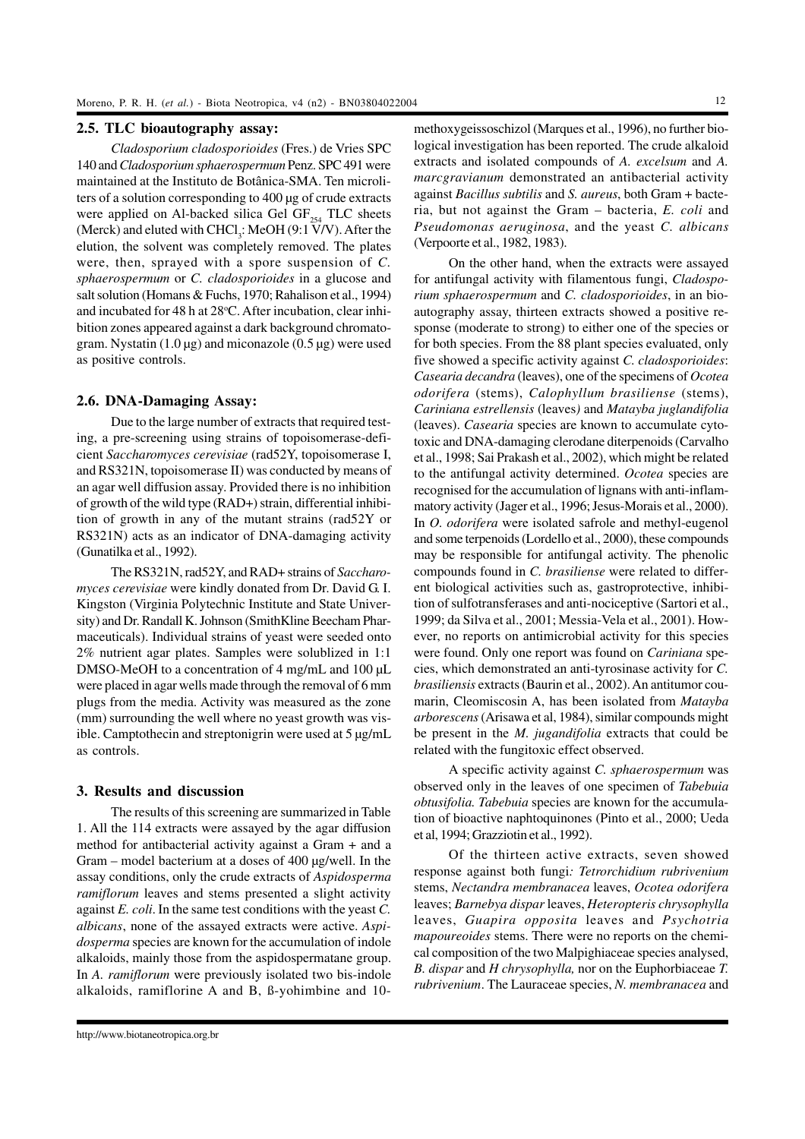## **2.5. TLC bioautography assay:**

*Cladosporium cladosporioides* (Fres.) de Vries SPC 140 and *Cladosporium sphaerospermum* Penz. SPC 491 were maintained at the Instituto de Botânica-SMA. Ten microliters of a solution corresponding to 400 µg of crude extracts were applied on Al-backed silica Gel  $GF<sub>254</sub> TLC$  sheets (Merck) and eluted with  $CHCl<sub>3</sub>$ : MeOH (9:1 V/V). After the elution, the solvent was completely removed. The plates were, then, sprayed with a spore suspension of *C. sphaerospermum* or *C. cladosporioides* in a glucose and salt solution (Homans & Fuchs, 1970; Rahalison et al., 1994) and incubated for 48 h at 28°C. After incubation, clear inhibition zones appeared against a dark background chromatogram. Nystatin  $(1.0 \,\mu$ g) and miconazole  $(0.5 \,\mu$ g) were used as positive controls.

#### **2.6. DNA-Damaging Assay:**

Due to the large number of extracts that required testing, a pre-screening using strains of topoisomerase-deficient *Saccharomyces cerevisiae* (rad52Y, topoisomerase I, and RS321N, topoisomerase II) was conducted by means of an agar well diffusion assay. Provided there is no inhibition of growth of the wild type (RAD+) strain, differential inhibition of growth in any of the mutant strains (rad52Y or RS321N) acts as an indicator of DNA-damaging activity (Gunatilka et al., 1992).

The RS321N, rad52Y, and RAD+ strains of *Saccharomyces cerevisiae* were kindly donated from Dr. David G. I. Kingston (Virginia Polytechnic Institute and State University) and Dr. Randall K. Johnson (SmithKline Beecham Pharmaceuticals). Individual strains of yeast were seeded onto 2% nutrient agar plates. Samples were solublized in 1:1 DMSO-MeOH to a concentration of 4 mg/mL and 100 µL were placed in agar wells made through the removal of 6 mm plugs from the media. Activity was measured as the zone (mm) surrounding the well where no yeast growth was visible. Camptothecin and streptonigrin were used at 5 µg/mL as controls.

## **3. Results and discussion**

The results of this screening are summarized in Table 1. All the 114 extracts were assayed by the agar diffusion method for antibacterial activity against a Gram + and a Gram – model bacterium at a doses of 400 µg/well. In the assay conditions, only the crude extracts of *Aspidosperma ramiflorum* leaves and stems presented a slight activity against *E. coli*. In the same test conditions with the yeast *C. albicans*, none of the assayed extracts were active. *Aspidosperma* species are known for the accumulation of indole alkaloids, mainly those from the aspidospermatane group. In *A. ramiflorum* were previously isolated two bis-indole alkaloids, ramiflorine A and B, ß-yohimbine and 10-

http://www.biotaneotropica.org.br

methoxygeissoschizol (Marques et al., 1996), no further biological investigation has been reported. The crude alkaloid extracts and isolated compounds of *A. excelsum* and *A. marcgravianum* demonstrated an antibacterial activity against *Bacillus subtilis* and *S. aureus*, both Gram + bacteria, but not against the Gram – bacteria, *E. coli* and *Pseudomonas aeruginosa*, and the yeast *C. albicans* (Verpoorte et al., 1982, 1983).

On the other hand, when the extracts were assayed for antifungal activity with filamentous fungi, *Cladosporium sphaerospermum* and *C. cladosporioides*, in an bioautography assay, thirteen extracts showed a positive response (moderate to strong) to either one of the species or for both species. From the 88 plant species evaluated, only five showed a specific activity against *C. cladosporioides*: *Casearia decandra* (leaves), one of the specimens of *Ocotea odorifera* (stems), *Calophyllum brasiliense* (stems), *Cariniana estrellensis* (leaves*)* and *Matayba juglandifolia* (leaves). *Casearia* species are known to accumulate cytotoxic and DNA-damaging clerodane diterpenoids (Carvalho et al., 1998; Sai Prakash et al., 2002), which might be related to the antifungal activity determined. *Ocotea* species are recognised for the accumulation of lignans with anti-inflammatory activity (Jager et al., 1996; Jesus-Morais et al., 2000). In *O. odorifera* were isolated safrole and methyl-eugenol and some terpenoids (Lordello et al., 2000), these compounds may be responsible for antifungal activity. The phenolic compounds found in *C. brasiliense* were related to different biological activities such as, gastroprotective, inhibition of sulfotransferases and anti-nociceptive (Sartori et al., 1999; da Silva et al., 2001; Messia-Vela et al., 2001). However, no reports on antimicrobial activity for this species were found. Only one report was found on *Cariniana* species, which demonstrated an anti-tyrosinase activity for *C. brasiliensis* extracts (Baurin et al., 2002). An antitumor coumarin, Cleomiscosin A, has been isolated from *Matayba arborescens* (Arisawa et al, 1984), similar compounds might be present in the *M. jugandifolia* extracts that could be related with the fungitoxic effect observed.

A specific activity against *C. sphaerospermum* was observed only in the leaves of one specimen of *Tabebuia obtusifolia. Tabebuia* species are known for the accumulation of bioactive naphtoquinones (Pinto et al., 2000; Ueda et al, 1994; Grazziotin et al., 1992).

Of the thirteen active extracts, seven showed response against both fungi*: Tetrorchidium rubrivenium* stems, *Nectandra membranacea* leaves, *Ocotea odorifera* leaves; *Barnebya dispar* leaves, *Heteropteris chrysophylla* leaves, *Guapira opposita* leaves and *Psychotria mapoureoides* stems. There were no reports on the chemical composition of the two Malpighiaceae species analysed, *B. dispar* and *H chrysophylla,* nor on the Euphorbiaceae *T. rubrivenium*. The Lauraceae species, *N. membranacea* and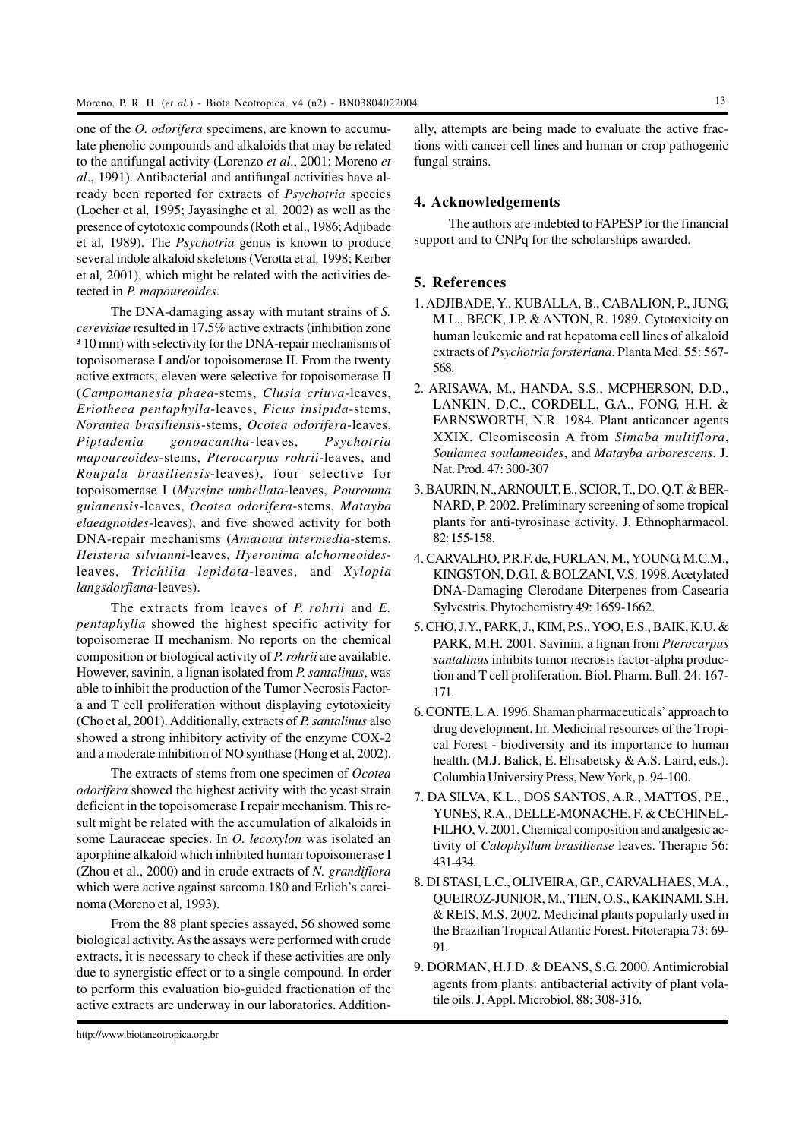one of the *O. odorifera* specimens, are known to accumulate phenolic compounds and alkaloids that may be related to the antifungal activity (Lorenzo *et al*., 2001; Moreno *et al*., 1991). Antibacterial and antifungal activities have already been reported for extracts of *Psychotria* species (Locher et al*,* 1995; Jayasinghe et al*,* 2002) as well as the presence of cytotoxic compounds (Roth et al., 1986; Adjibade et al*,* 1989). The *Psychotria* genus is known to produce several indole alkaloid skeletons (Verotta et al*,* 1998; Kerber et al*,* 2001), which might be related with the activities detected in *P. mapoureoides*.

The DNA-damaging assay with mutant strains of *S. cerevisiae* resulted in 17.5% active extracts (inhibition zone ³ 10 mm) with selectivity for the DNA-repair mechanisms of topoisomerase I and/or topoisomerase II. From the twenty active extracts, eleven were selective for topoisomerase II (*Campomanesia phaea*-stems, *Clusia criuva*-leaves, *Eriotheca pentaphylla*-leaves, *Ficus insipida*-stems, *Norantea brasiliensis*-stems, *Ocotea odorifera*-leaves, *Piptadenia gonoacantha*-leaves, *Psychotria mapoureoides*-stems, *Pterocarpus rohrii*-leaves, and *Roupala brasiliensis*-leaves), four selective for topoisomerase I (*Myrsine umbellata*-leaves, *Pourouma guianensis*-leaves, *Ocotea odorifera*-stems, *Matayba elaeagnoides*-leaves), and five showed activity for both DNA-repair mechanisms (*Amaioua intermedia-*stems, *Heisteria silvianni*-leaves, *Hyeronima alchorneoides*leaves, *Trichilia lepidota*-leaves, and *Xylopia langsdorfiana*-leaves).

The extracts from leaves of *P. rohrii* and *E. pentaphylla* showed the highest specific activity for topoisomerae II mechanism. No reports on the chemical composition or biological activity of *P. rohrii* are available. However, savinin, a lignan isolated from *P. santalinus*, was able to inhibit the production of the Tumor Necrosis Factora and T cell proliferation without displaying cytotoxicity (Cho et al, 2001). Additionally, extracts of *P. santalinus* also showed a strong inhibitory activity of the enzyme COX-2 and a moderate inhibition of NO synthase (Hong et al, 2002).

The extracts of stems from one specimen of *Ocotea odorifera* showed the highest activity with the yeast strain deficient in the topoisomerase I repair mechanism. This result might be related with the accumulation of alkaloids in some Lauraceae species. In *O. lecoxylon* was isolated an aporphine alkaloid which inhibited human topoisomerase I (Zhou et al., 2000) and in crude extracts of *N. grandiflora* which were active against sarcoma 180 and Erlich's carcinoma (Moreno et al*,* 1993).

From the 88 plant species assayed, 56 showed some biological activity. As the assays were performed with crude extracts, it is necessary to check if these activities are only due to synergistic effect or to a single compound. In order to perform this evaluation bio-guided fractionation of the active extracts are underway in our laboratories. Additionally, attempts are being made to evaluate the active fractions with cancer cell lines and human or crop pathogenic fungal strains.

## **4. Acknowledgements**

The authors are indebted to FAPESP for the financial support and to CNPq for the scholarships awarded.

## **5. References**

- 1. ADJIBADE, Y., KUBALLA, B., CABALION, P., JUNG, M.L., BECK, J.P. & ANTON, R. 1989. Cytotoxicity on human leukemic and rat hepatoma cell lines of alkaloid extracts of *Psychotria forsteriana*. Planta Med. 55: 567- 568.
- 2. ARISAWA, M., HANDA, S.S., MCPHERSON, D.D., LANKIN, D.C., CORDELL, G.A., FONG, H.H. & FARNSWORTH, N.R. 1984. Plant anticancer agents XXIX. Cleomiscosin A from *Simaba multiflora*, *Soulamea soulameoides*, and *Matayba arborescens*. J. Nat. Prod. 47: 300-307
- 3. BAURIN, N., ARNOULT, E., SCIOR, T., DO, Q.T. & BER-NARD, P. 2002. Preliminary screening of some tropical plants for anti-tyrosinase activity. J. Ethnopharmacol. 82: 155-158.
- 4. CARVALHO, P.R.F. de, FURLAN, M., YOUNG, M.C.M., KINGSTON, D.G.I. & BOLZANI, V.S. 1998. Acetylated DNA-Damaging Clerodane Diterpenes from Casearia Sylvestris. Phytochemistry 49: 1659-1662.
- 5. CHO, J.Y., PARK, J., KIM, P.S., YOO, E.S., BAIK, K.U. & PARK, M.H. 2001. Savinin, a lignan from *Pterocarpus santalinus* inhibits tumor necrosis factor-alpha production and T cell proliferation. Biol. Pharm. Bull. 24: 167- 171.
- 6. CONTE, L.A. 1996. Shaman pharmaceuticals' approach to drug development. In. Medicinal resources of the Tropical Forest - biodiversity and its importance to human health. (M.J. Balick, E. Elisabetsky & A.S. Laird, eds.). Columbia University Press, New York, p. 94-100.
- 7. DA SILVA, K.L., DOS SANTOS, A.R., MATTOS, P.E., YUNES, R.A., DELLE-MONACHE, F. & CECHINEL-FILHO, V. 2001. Chemical composition and analgesic activity of *Calophyllum brasiliense* leaves. Therapie 56: 431-434.
- 8. DI STASI, L.C., OLIVEIRA, G.P., CARVALHAES, M.A., QUEIROZ-JUNIOR, M., TIEN, O.S., KAKINAMI, S.H. & REIS, M.S. 2002. Medicinal plants popularly used in the Brazilian Tropical Atlantic Forest. Fitoterapia 73: 69- 91.
- 9. DORMAN, H.J.D. & DEANS, S.G. 2000. Antimicrobial agents from plants: antibacterial activity of plant volatile oils. J. Appl. Microbiol. 88: 308-316.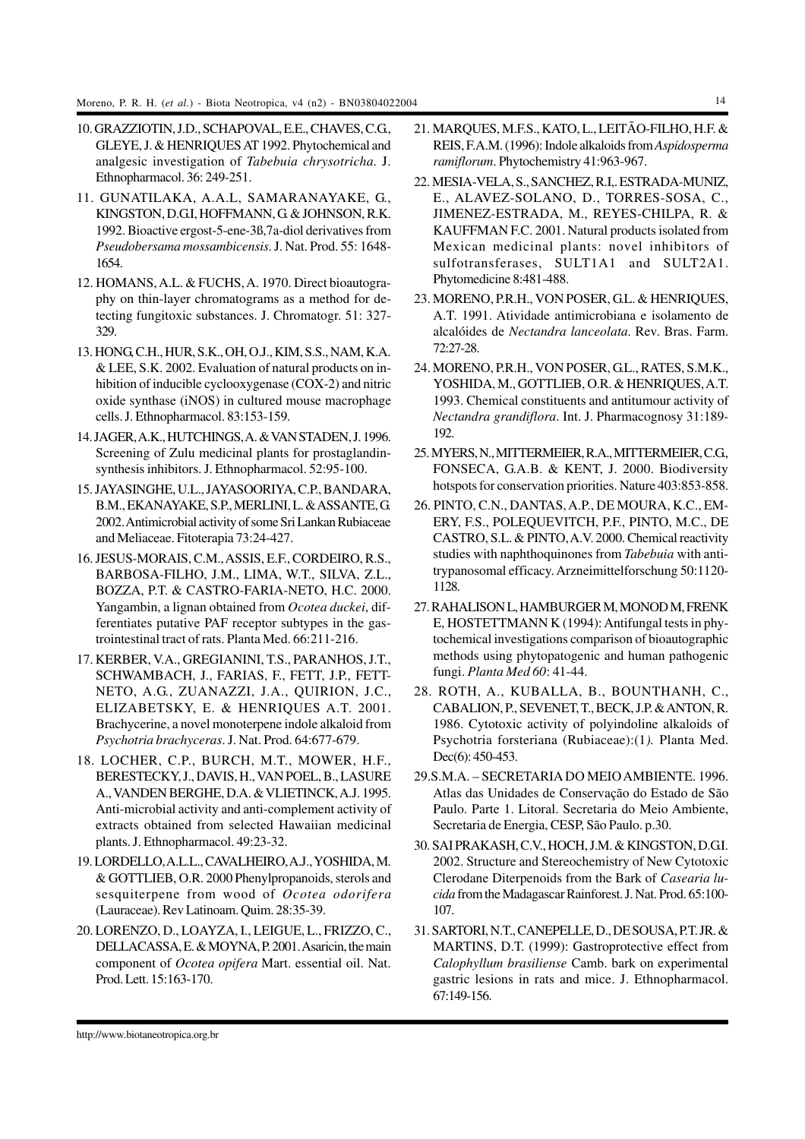- 10. GRAZZIOTIN, J.D., SCHAPOVAL, E.E., CHAVES, C.G., GLEYE, J. & HENRIQUES AT 1992. Phytochemical and analgesic investigation of *Tabebuia chrysotricha*. J. Ethnopharmacol. 36: 249-251.
- 11. GUNATILAKA, A.A.L, SAMARANAYAKE, G., KINGSTON, D.G.I, HOFFMANN, G. & JOHNSON, R.K. 1992. Bioactive ergost-5-ene-3ß,7a-diol derivatives from *Pseudobersama mossambicensis*. J. Nat. Prod. 55: 1648- 1654.
- 12. HOMANS, A.L. & FUCHS, A. 1970. Direct bioautography on thin-layer chromatograms as a method for detecting fungitoxic substances. J. Chromatogr. 51: 327- 329.
- 13. HONG, C.H., HUR, S.K., OH, O.J., KIM, S.S., NAM, K.A. & LEE, S.K. 2002. Evaluation of natural products on inhibition of inducible cyclooxygenase (COX-2) and nitric oxide synthase (iNOS) in cultured mouse macrophage cells. J. Ethnopharmacol. 83:153-159.
- 14. JAGER, A.K., HUTCHINGS, A. & VAN STADEN, J. 1996. Screening of Zulu medicinal plants for prostaglandinsynthesis inhibitors. J. Ethnopharmacol. 52:95-100.
- 15. JAYASINGHE, U.L., JAYASOORIYA, C.P., BANDARA, B.M., EKANAYAKE, S.P., MERLINI, L. & ASSANTE, G. 2002. Antimicrobial activity of some Sri Lankan Rubiaceae and Meliaceae. Fitoterapia 73:24-427.
- 16. JESUS-MORAIS, C.M., ASSIS, E.F., CORDEIRO, R.S., BARBOSA-FILHO, J.M., LIMA, W.T., SILVA, Z.L., BOZZA, P.T. & CASTRO-FARIA-NETO, H.C. 2000. Yangambin, a lignan obtained from *Ocotea duckei*, differentiates putative PAF receptor subtypes in the gastrointestinal tract of rats. Planta Med. 66:211-216.
- 17. KERBER, V.A., GREGIANINI, T.S., PARANHOS, J.T., SCHWAMBACH, J., FARIAS, F., FETT, J.P., FETT-NETO, A.G., ZUANAZZI, J.A., QUIRION, J.C., ELIZABETSKY, E. & HENRIQUES A.T. 2001. Brachycerine, a novel monoterpene indole alkaloid from *Psychotria brachyceras*. J. Nat. Prod. 64:677-679.
- 18. LOCHER, C.P., BURCH, M.T., MOWER, H.F., BERESTECKY, J., DAVIS, H., VAN POEL, B., LASURE A., VANDEN BERGHE, D.A. & VLIETINCK, A.J. 1995. Anti-microbial activity and anti-complement activity of extracts obtained from selected Hawaiian medicinal plants. J. Ethnopharmacol. 49:23-32.
- 19. LORDELLO, A.L.L., CAVALHEIRO, A.J., YOSHIDA, M. & GOTTLIEB, O.R. 2000 Phenylpropanoids, sterols and sesquiterpene from wood of *Ocotea odorifera* (Lauraceae). Rev Latinoam. Quim. 28:35-39.
- 20. LORENZO, D., LOAYZA, I., LEIGUE, L., FRIZZO, C., DELLACASSA, E. & MOYNA, P. 2001. Asaricin, the main component of *Ocotea opifera* Mart. essential oil. Nat. Prod. Lett. 15:163-170.
- 21. MARQUES, M.F.S., KATO, L., LEITÃO-FILHO, H.F. & REIS, F.A.M. (1996): Indole alkaloids from *Aspidosperma ramiflorum*. Phytochemistry 41:963-967.
- 22. MESIA-VELA, S., SANCHEZ, R.I,. ESTRADA-MUNIZ, E., ALAVEZ-SOLANO, D., TORRES-SOSA, C., JIMENEZ-ESTRADA, M., REYES-CHILPA, R. & KAUFFMAN F.C. 2001. Natural products isolated from Mexican medicinal plants: novel inhibitors of sulfotransferases, SULT1A1 and SULT2A1. Phytomedicine 8:481-488.
- 23. MORENO, P.R.H., VON POSER, G.L. & HENRIQUES, A.T. 1991. Atividade antimicrobiana e isolamento de alcalóides de *Nectandra lanceolata*. Rev. Bras. Farm. 72:27-28.
- 24. MORENO, P.R.H., VON POSER, G.L., RATES, S.M.K., YOSHIDA, M., GOTTLIEB, O.R. & HENRIQUES, A.T. 1993. Chemical constituents and antitumour activity of *Nectandra grandiflora*. Int. J. Pharmacognosy 31:189- 192.
- 25. MYERS, N., MITTERMEIER, R.A., MITTERMEIER, C.G., FONSECA, G.A.B. & KENT, J. 2000. Biodiversity hotspots for conservation priorities. Nature 403:853-858.
- 26. PINTO, C.N., DANTAS, A.P., DE MOURA, K.C., EM-ERY, F.S., POLEQUEVITCH, P.F., PINTO, M.C., DE CASTRO, S.L. & PINTO, A.V. 2000. Chemical reactivity studies with naphthoquinones from *Tabebuia* with antitrypanosomal efficacy. Arzneimittelforschung 50:1120- 1128.
- 27. RAHALISON L, HAMBURGER M, MONOD M, FRENK E, HOSTETTMANN K (1994): Antifungal tests in phytochemical investigations comparison of bioautographic methods using phytopatogenic and human pathogenic fungi. *Planta Med 60*: 41-44.
- 28. ROTH, A., KUBALLA, B., BOUNTHANH, C., CABALION, P., SEVENET, T., BECK, J.P. & ANTON, R. 1986. Cytotoxic activity of polyindoline alkaloids of Psychotria forsteriana (Rubiaceae):(1*).* Planta Med. Dec(6): 450-453.
- 29.S.M.A. SECRETARIA DO MEIO AMBIENTE. 1996. Atlas das Unidades de Conservação do Estado de São Paulo. Parte 1. Litoral. Secretaria do Meio Ambiente, Secretaria de Energia, CESP, São Paulo. p.30.
- 30. SAI PRAKASH, C.V., HOCH, J.M. & KINGSTON, D.G.I. 2002. Structure and Stereochemistry of New Cytotoxic Clerodane Diterpenoids from the Bark of *Casearia lucida* from the Madagascar Rainforest. J. Nat. Prod. 65:100- 107.
- 31. SARTORI, N.T., CANEPELLE, D., DE SOUSA, P.T. JR. & MARTINS, D.T. (1999): Gastroprotective effect from *Calophyllum brasiliense* Camb. bark on experimental gastric lesions in rats and mice. J. Ethnopharmacol. 67:149-156.

http://www.biotaneotropica.org.br